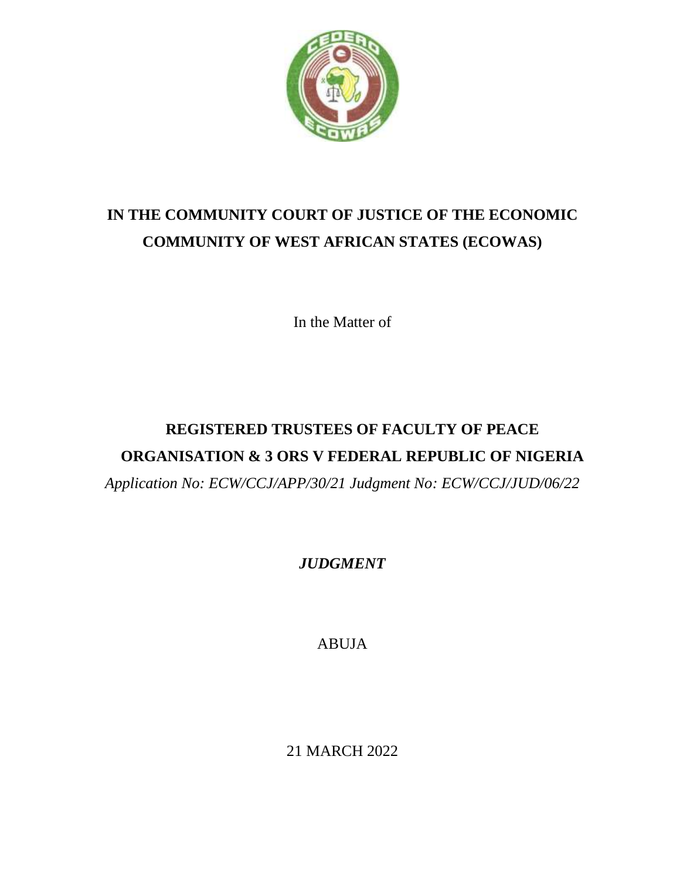

# **IN THE COMMUNITY COURT OF JUSTICE OF THE ECONOMIC COMMUNITY OF WEST AFRICAN STATES (ECOWAS)**

In the Matter of

# **REGISTERED TRUSTEES OF FACULTY OF PEACE ORGANISATION & 3 ORS V FEDERAL REPUBLIC OF NIGERIA** *Application No: ECW/CCJ/APP/30/21 Judgment No: ECW/CCJ/JUD/06/22*

## *JUDGMENT*

ABUJA

21 MARCH 2022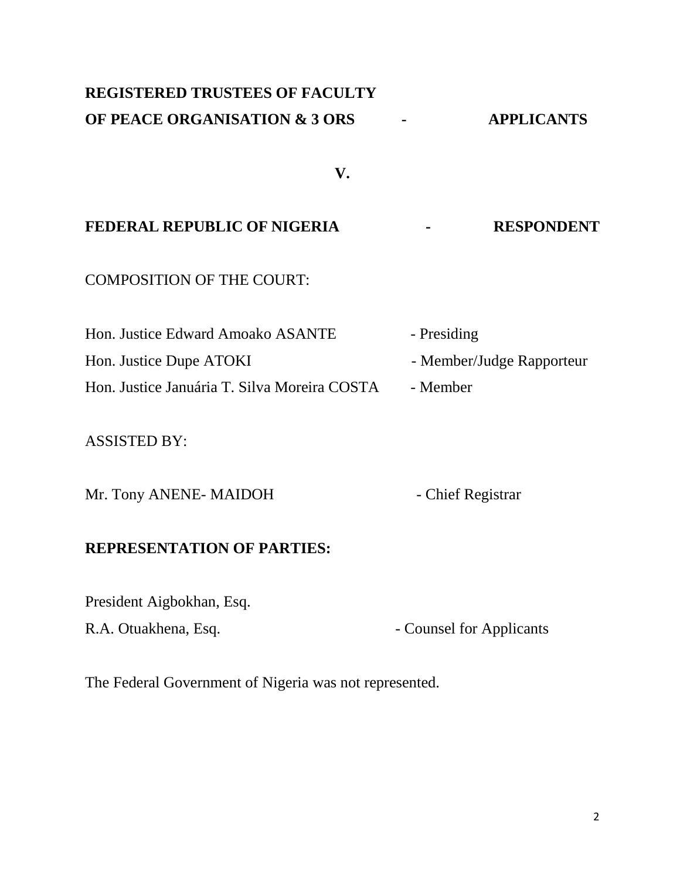## **REGISTERED TRUSTEES OF FACULTY OF PEACE ORGANISATION & 3 ORS - APPLICANTS**

**V.**

## **FEDERAL REPUBLIC OF NIGERIA - RESPONDENT**

COMPOSITION OF THE COURT:

| Hon. Justice Edward Amoako ASANTE            | - Presiding               |
|----------------------------------------------|---------------------------|
| Hon. Justice Dupe ATOKI                      | - Member/Judge Rapporteur |
| Hon. Justice Januária T. Silva Moreira COSTA | - Member                  |

#### ASSISTED BY:

Mr. Tony ANENE- MAIDOH - Chief Registrar

#### **REPRESENTATION OF PARTIES:**

President Aigbokhan, Esq.

R.A. Otuakhena, Esq.  $\qquad \qquad -$  Counsel for Applicants

The Federal Government of Nigeria was not represented.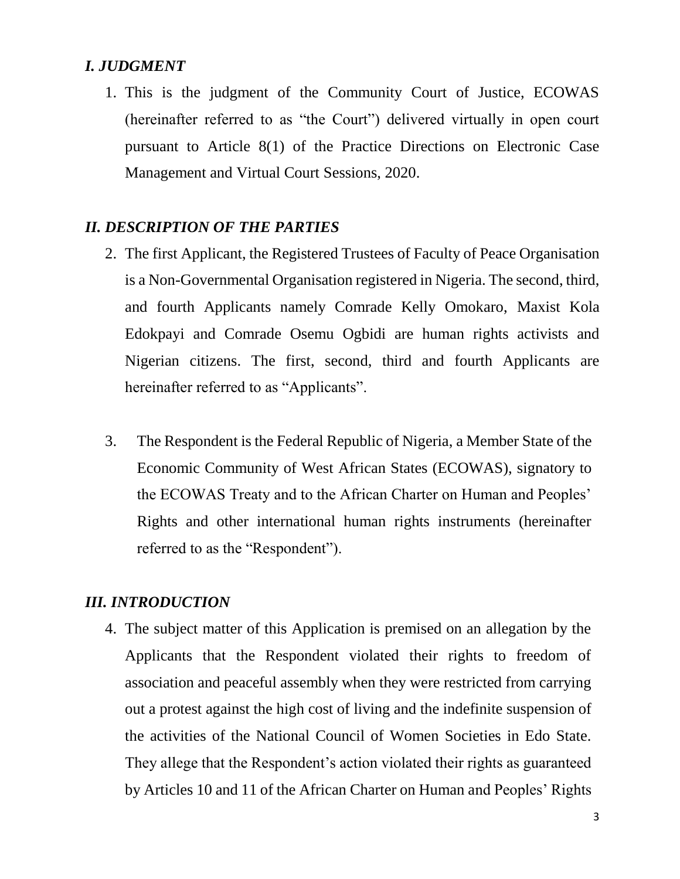#### *I. JUDGMENT*

1. This is the judgment of the Community Court of Justice, ECOWAS (hereinafter referred to as "the Court") delivered virtually in open court pursuant to Article 8(1) of the Practice Directions on Electronic Case Management and Virtual Court Sessions, 2020.

## *II. DESCRIPTION OF THE PARTIES*

- 2. The first Applicant, the Registered Trustees of Faculty of Peace Organisation is a Non-Governmental Organisation registered in Nigeria. The second, third, and fourth Applicants namely Comrade Kelly Omokaro, Maxist Kola Edokpayi and Comrade Osemu Ogbidi are human rights activists and Nigerian citizens. The first, second, third and fourth Applicants are hereinafter referred to as "Applicants".
- 3. The Respondent is the Federal Republic of Nigeria, a Member State of the Economic Community of West African States (ECOWAS), signatory to the ECOWAS Treaty and to the African Charter on Human and Peoples' Rights and other international human rights instruments (hereinafter referred to as the "Respondent").

#### *III. INTRODUCTION*

4. The subject matter of this Application is premised on an allegation by the Applicants that the Respondent violated their rights to freedom of association and peaceful assembly when they were restricted from carrying out a protest against the high cost of living and the indefinite suspension of the activities of the National Council of Women Societies in Edo State. They allege that the Respondent's action violated their rights as guaranteed by Articles 10 and 11 of the African Charter on Human and Peoples' Rights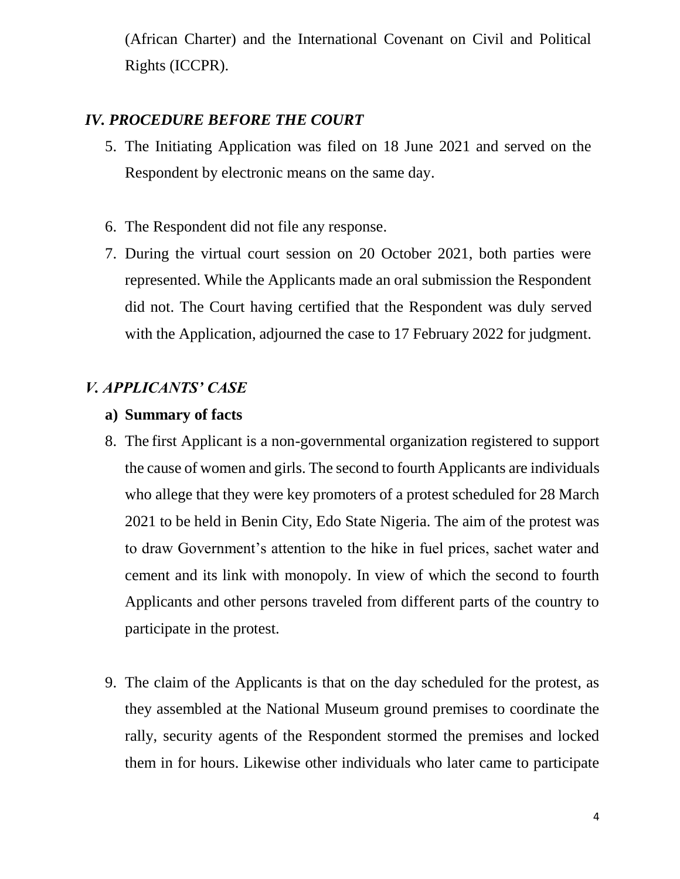(African Charter) and the International Covenant on Civil and Political Rights (ICCPR).

## *IV. PROCEDURE BEFORE THE COURT*

- 5. The Initiating Application was filed on 18 June 2021 and served on the Respondent by electronic means on the same day.
- 6. The Respondent did not file any response.
- 7. During the virtual court session on 20 October 2021, both parties were represented. While the Applicants made an oral submission the Respondent did not. The Court having certified that the Respondent was duly served with the Application, adjourned the case to 17 February 2022 for judgment.

## *V. APPLICANTS' CASE*

#### **a) Summary of facts**

- 8. The first Applicant is a non-governmental organization registered to support the cause of women and girls. The second to fourth Applicants are individuals who allege that they were key promoters of a protest scheduled for 28 March 2021 to be held in Benin City, Edo State Nigeria. The aim of the protest was to draw Government's attention to the hike in fuel prices, sachet water and cement and its link with monopoly. In view of which the second to fourth Applicants and other persons traveled from different parts of the country to participate in the protest.
- 9. The claim of the Applicants is that on the day scheduled for the protest, as they assembled at the National Museum ground premises to coordinate the rally, security agents of the Respondent stormed the premises and locked them in for hours. Likewise other individuals who later came to participate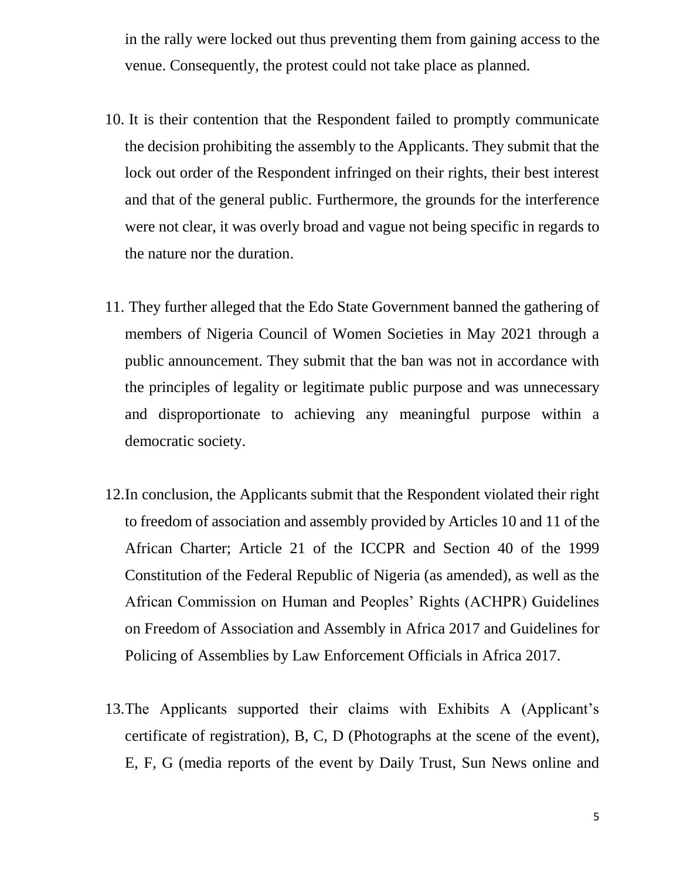in the rally were locked out thus preventing them from gaining access to the venue. Consequently, the protest could not take place as planned.

- 10. It is their contention that the Respondent failed to promptly communicate the decision prohibiting the assembly to the Applicants. They submit that the lock out order of the Respondent infringed on their rights, their best interest and that of the general public. Furthermore, the grounds for the interference were not clear, it was overly broad and vague not being specific in regards to the nature nor the duration.
- 11. They further alleged that the Edo State Government banned the gathering of members of Nigeria Council of Women Societies in May 2021 through a public announcement. They submit that the ban was not in accordance with the principles of legality or legitimate public purpose and was unnecessary and disproportionate to achieving any meaningful purpose within a democratic society.
- 12.In conclusion, the Applicants submit that the Respondent violated their right to freedom of association and assembly provided by Articles 10 and 11 of the African Charter; Article 21 of the ICCPR and Section 40 of the 1999 Constitution of the Federal Republic of Nigeria (as amended), as well as the African Commission on Human and Peoples' Rights (ACHPR) Guidelines on Freedom of Association and Assembly in Africa 2017 and Guidelines for Policing of Assemblies by Law Enforcement Officials in Africa 2017.
- 13.The Applicants supported their claims with Exhibits A (Applicant's certificate of registration), B, C, D (Photographs at the scene of the event), E, F, G (media reports of the event by Daily Trust, Sun News online and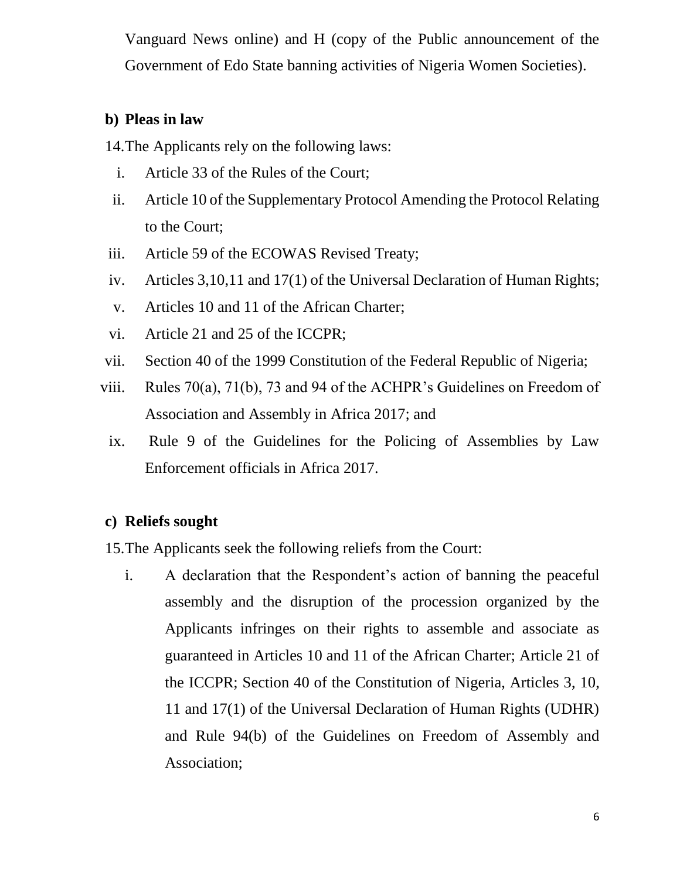Vanguard News online) and H (copy of the Public announcement of the Government of Edo State banning activities of Nigeria Women Societies).

#### **b) Pleas in law**

14.The Applicants rely on the following laws:

- i. Article 33 of the Rules of the Court;
- ii. Article 10 of the Supplementary Protocol Amending the Protocol Relating to the Court;
- iii. Article 59 of the ECOWAS Revised Treaty;
- iv. Articles 3,10,11 and 17(1) of the Universal Declaration of Human Rights;
- v. Articles 10 and 11 of the African Charter;
- vi. Article 21 and 25 of the ICCPR;
- vii. Section 40 of the 1999 Constitution of the Federal Republic of Nigeria;
- viii. Rules 70(a), 71(b), 73 and 94 of the ACHPR's Guidelines on Freedom of Association and Assembly in Africa 2017; and
	- ix. Rule 9 of the Guidelines for the Policing of Assemblies by Law Enforcement officials in Africa 2017.

## **c) Reliefs sought**

15.The Applicants seek the following reliefs from the Court:

i. A declaration that the Respondent's action of banning the peaceful assembly and the disruption of the procession organized by the Applicants infringes on their rights to assemble and associate as guaranteed in Articles 10 and 11 of the African Charter; Article 21 of the ICCPR; Section 40 of the Constitution of Nigeria, Articles 3, 10, 11 and 17(1) of the Universal Declaration of Human Rights (UDHR) and Rule 94(b) of the Guidelines on Freedom of Assembly and Association;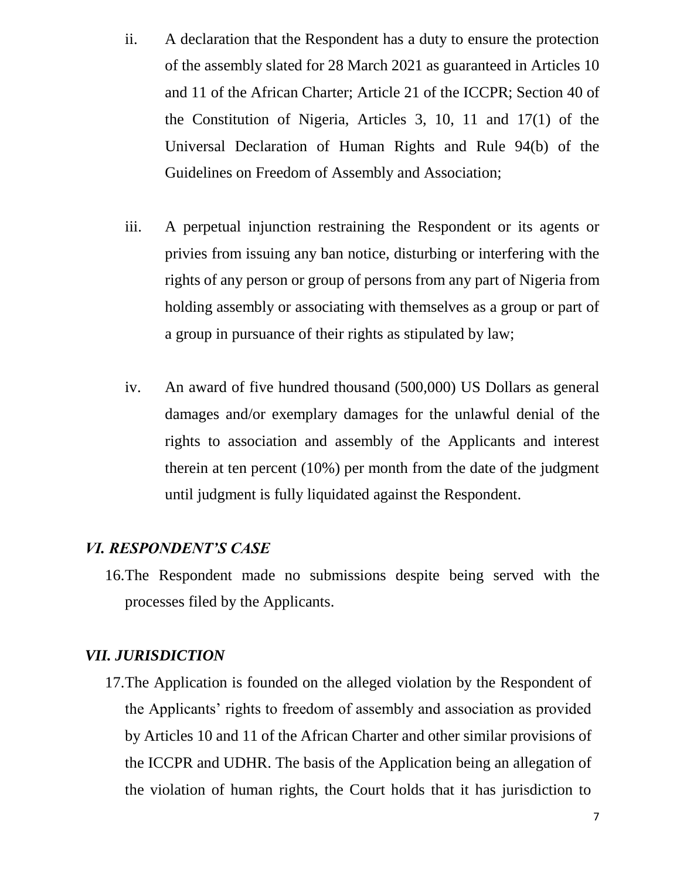- ii. A declaration that the Respondent has a duty to ensure the protection of the assembly slated for 28 March 2021 as guaranteed in Articles 10 and 11 of the African Charter; Article 21 of the ICCPR; Section 40 of the Constitution of Nigeria, Articles 3, 10, 11 and 17(1) of the Universal Declaration of Human Rights and Rule 94(b) of the Guidelines on Freedom of Assembly and Association;
- iii. A perpetual injunction restraining the Respondent or its agents or privies from issuing any ban notice, disturbing or interfering with the rights of any person or group of persons from any part of Nigeria from holding assembly or associating with themselves as a group or part of a group in pursuance of their rights as stipulated by law;
- iv. An award of five hundred thousand (500,000) US Dollars as general damages and/or exemplary damages for the unlawful denial of the rights to association and assembly of the Applicants and interest therein at ten percent (10%) per month from the date of the judgment until judgment is fully liquidated against the Respondent.

## *VI. RESPONDENT'S CASE*

16.The Respondent made no submissions despite being served with the processes filed by the Applicants.

## *VII. JURISDICTION*

17.The Application is founded on the alleged violation by the Respondent of the Applicants' rights to freedom of assembly and association as provided by Articles 10 and 11 of the African Charter and other similar provisions of the ICCPR and UDHR. The basis of the Application being an allegation of the violation of human rights, the Court holds that it has jurisdiction to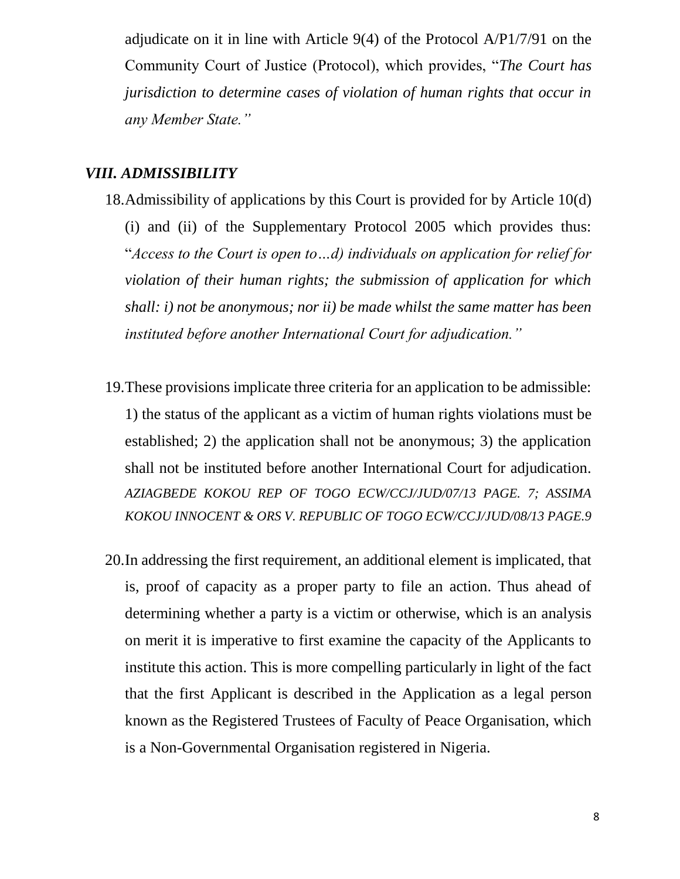adjudicate on it in line with Article 9(4) of the Protocol A/P1/7/91 on the Community Court of Justice (Protocol), which provides, "*The Court has jurisdiction to determine cases of violation of human rights that occur in any Member State."*

## *VIII. ADMISSIBILITY*

- 18.Admissibility of applications by this Court is provided for by Article 10(d) (i) and (ii) of the Supplementary Protocol 2005 which provides thus: "*Access to the Court is open to…d) individuals on application for relief for violation of their human rights; the submission of application for which shall: i) not be anonymous; nor ii) be made whilst the same matter has been instituted before another International Court for adjudication."*
- 19.These provisions implicate three criteria for an application to be admissible: 1) the status of the applicant as a victim of human rights violations must be established; 2) the application shall not be anonymous; 3) the application shall not be instituted before another International Court for adjudication. *AZIAGBEDE KOKOU REP OF TOGO ECW/CCJ/JUD/07/13 PAGE. 7; ASSIMA KOKOU INNOCENT & ORS V. REPUBLIC OF TOGO ECW/CCJ/JUD/08/13 PAGE.9*
- 20.In addressing the first requirement, an additional element is implicated, that is, proof of capacity as a proper party to file an action. Thus ahead of determining whether a party is a victim or otherwise, which is an analysis on merit it is imperative to first examine the capacity of the Applicants to institute this action. This is more compelling particularly in light of the fact that the first Applicant is described in the Application as a legal person known as the Registered Trustees of Faculty of Peace Organisation, which is a Non-Governmental Organisation registered in Nigeria.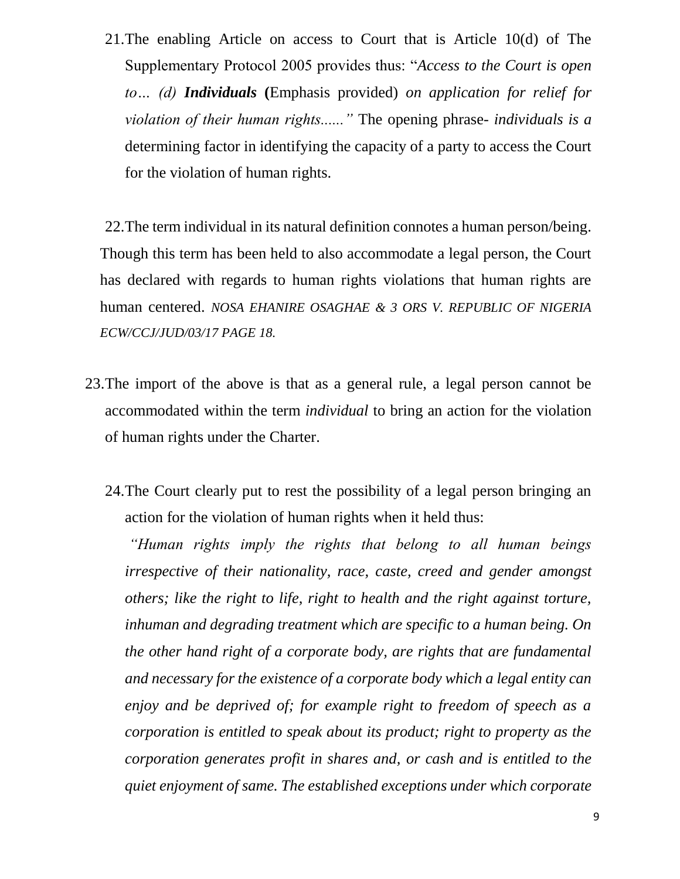21.The enabling Article on access to Court that is Article 10(d) of The Supplementary Protocol 2005 provides thus: "*Access to the Court is open to… (d) Individuals* **(**Emphasis provided) *on application for relief for violation of their human rights......"* The opening phrase- *individuals is a* determining factor in identifying the capacity of a party to access the Court for the violation of human rights.

22.The term individual in its natural definition connotes a human person/being. Though this term has been held to also accommodate a legal person, the Court has declared with regards to human rights violations that human rights are human centered. *NOSA EHANIRE OSAGHAE & 3 ORS V. REPUBLIC OF NIGERIA ECW/CCJ/JUD/03/17 PAGE 18.*

- 23.The import of the above is that as a general rule, a legal person cannot be accommodated within the term *individual* to bring an action for the violation of human rights under the Charter.
	- 24.The Court clearly put to rest the possibility of a legal person bringing an action for the violation of human rights when it held thus:

*"Human rights imply the rights that belong to all human beings irrespective of their nationality, race, caste, creed and gender amongst others; like the right to life, right to health and the right against torture, inhuman and degrading treatment which are specific to a human being. On the other hand right of a corporate body, are rights that are fundamental and necessary for the existence of a corporate body which a legal entity can enjoy and be deprived of; for example right to freedom of speech as a corporation is entitled to speak about its product; right to property as the corporation generates profit in shares and, or cash and is entitled to the quiet enjoyment of same. The established exceptions under which corporate*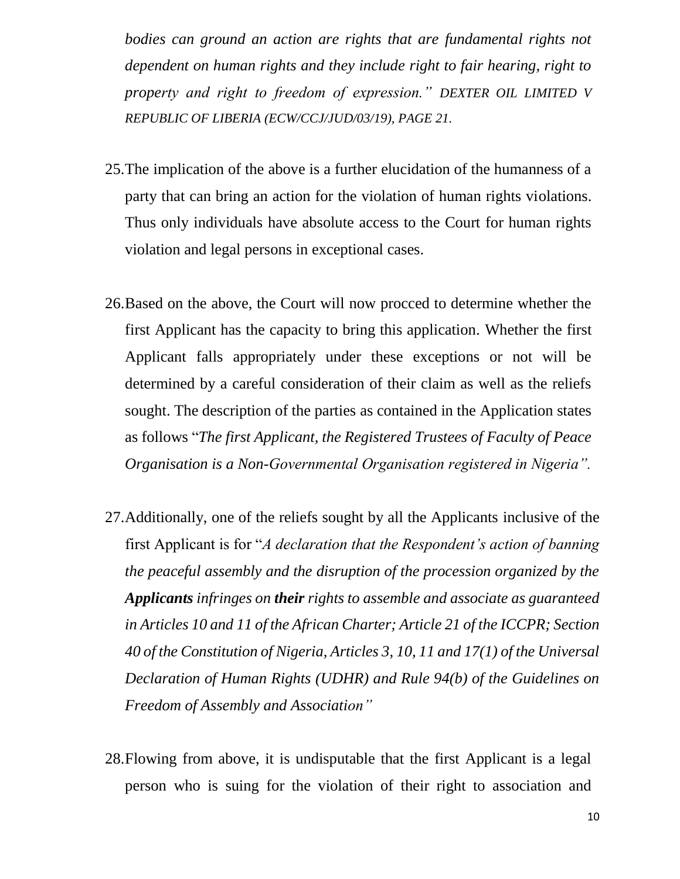*bodies can ground an action are rights that are fundamental rights not dependent on human rights and they include right to fair hearing, right to property and right to freedom of expression." DEXTER OIL LIMITED V REPUBLIC OF LIBERIA (ECW/CCJ/JUD/03/19), PAGE 21.*

- 25.The implication of the above is a further elucidation of the humanness of a party that can bring an action for the violation of human rights violations. Thus only individuals have absolute access to the Court for human rights violation and legal persons in exceptional cases.
- 26.Based on the above, the Court will now procced to determine whether the first Applicant has the capacity to bring this application. Whether the first Applicant falls appropriately under these exceptions or not will be determined by a careful consideration of their claim as well as the reliefs sought. The description of the parties as contained in the Application states as follows "*The first Applicant, the Registered Trustees of Faculty of Peace Organisation is a Non-Governmental Organisation registered in Nigeria".*
- 27.Additionally, one of the reliefs sought by all the Applicants inclusive of the first Applicant is for "*A declaration that the Respondent's action of banning the peaceful assembly and the disruption of the procession organized by the Applicants infringes on their rights to assemble and associate as guaranteed in Articles 10 and 11 of the African Charter; Article 21 of the ICCPR; Section 40 of the Constitution of Nigeria, Articles 3, 10, 11 and 17(1) of the Universal Declaration of Human Rights (UDHR) and Rule 94(b) of the Guidelines on Freedom of Assembly and Association"*
- 28.Flowing from above, it is undisputable that the first Applicant is a legal person who is suing for the violation of their right to association and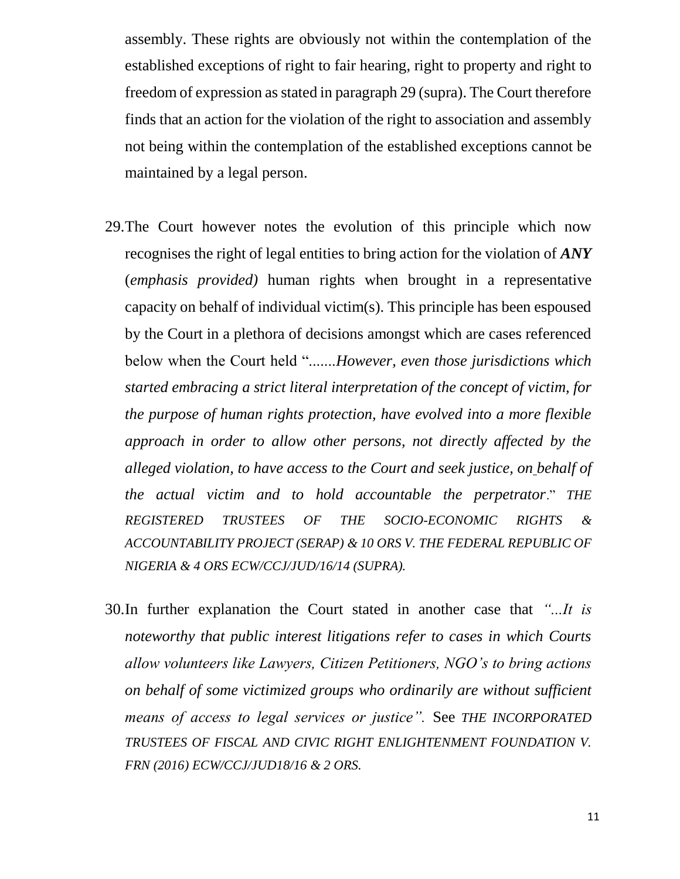assembly. These rights are obviously not within the contemplation of the established exceptions of right to fair hearing, right to property and right to freedom of expression as stated in paragraph 29 (supra). The Court therefore finds that an action for the violation of the right to association and assembly not being within the contemplation of the established exceptions cannot be maintained by a legal person.

- 29.The Court however notes the evolution of this principle which now recognises the right of legal entities to bring action for the violation of *ANY*  (*emphasis provided)* human rights when brought in a representative capacity on behalf of individual victim(s). This principle has been espoused by the Court in a plethora of decisions amongst which are cases referenced below when the Court held ".......*However, even those jurisdictions which started embracing a strict literal interpretation of the concept of victim, for the purpose of human rights protection, have evolved into a more flexible approach in order to allow other persons, not directly affected by the alleged violation, to have access to the Court and seek justice, on behalf of the actual victim and to hold accountable the perpetrator*." *THE REGISTERED TRUSTEES OF THE SOCIO-ECONOMIC RIGHTS & ACCOUNTABILITY PROJECT (SERAP) & 10 ORS V. THE FEDERAL REPUBLIC OF NIGERIA & 4 ORS ECW/CCJ/JUD/16/14 (SUPRA).*
- 30.In further explanation the Court stated in another case that *"...It is noteworthy that public interest litigations refer to cases in which Courts allow volunteers like Lawyers, Citizen Petitioners, NGO's to bring actions on behalf of some victimized groups who ordinarily are without sufficient means of access to legal services or justice".* See *THE INCORPORATED TRUSTEES OF FISCAL AND CIVIC RIGHT ENLIGHTENMENT FOUNDATION V. FRN (2016) ECW/CCJ/JUD18/16 & 2 ORS.*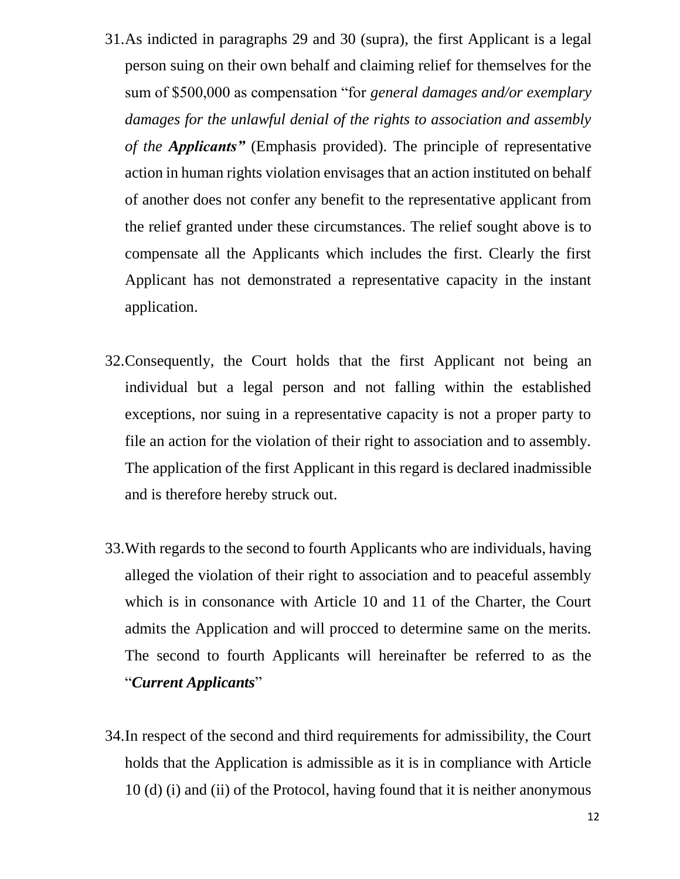- 31.As indicted in paragraphs 29 and 30 (supra), the first Applicant is a legal person suing on their own behalf and claiming relief for themselves for the sum of \$500,000 as compensation "for *general damages and/or exemplary damages for the unlawful denial of the rights to association and assembly of the Applicants"* (Emphasis provided). The principle of representative action in human rights violation envisages that an action instituted on behalf of another does not confer any benefit to the representative applicant from the relief granted under these circumstances. The relief sought above is to compensate all the Applicants which includes the first. Clearly the first Applicant has not demonstrated a representative capacity in the instant application.
- 32.Consequently, the Court holds that the first Applicant not being an individual but a legal person and not falling within the established exceptions, nor suing in a representative capacity is not a proper party to file an action for the violation of their right to association and to assembly. The application of the first Applicant in this regard is declared inadmissible and is therefore hereby struck out.
- 33.With regards to the second to fourth Applicants who are individuals, having alleged the violation of their right to association and to peaceful assembly which is in consonance with Article 10 and 11 of the Charter, the Court admits the Application and will procced to determine same on the merits. The second to fourth Applicants will hereinafter be referred to as the "*Current Applicants*"
- 34.In respect of the second and third requirements for admissibility, the Court holds that the Application is admissible as it is in compliance with Article 10 (d) (i) and (ii) of the Protocol, having found that it is neither anonymous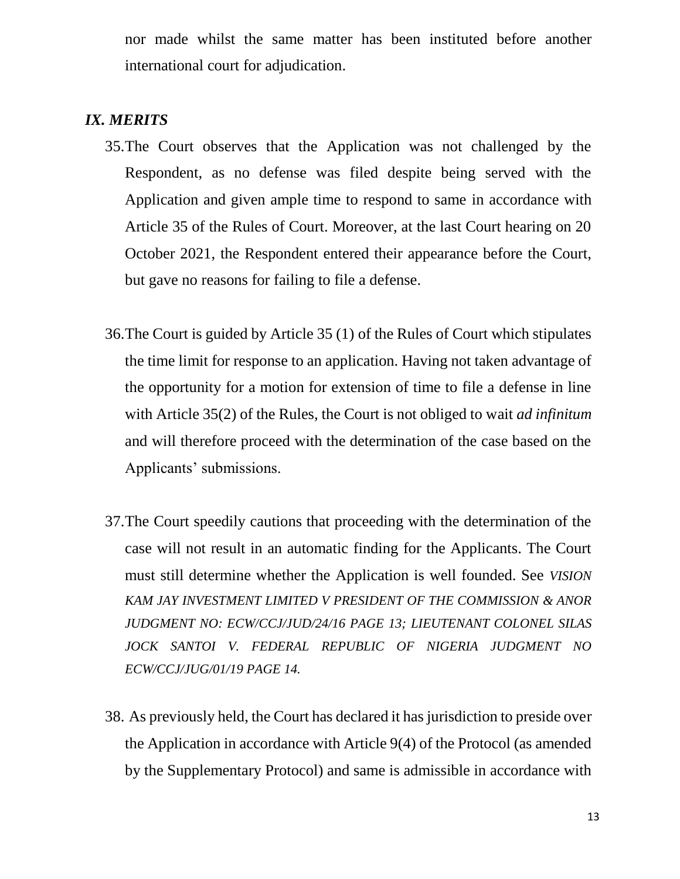nor made whilst the same matter has been instituted before another international court for adjudication.

#### *IX. MERITS*

- 35.The Court observes that the Application was not challenged by the Respondent, as no defense was filed despite being served with the Application and given ample time to respond to same in accordance with Article 35 of the Rules of Court. Moreover, at the last Court hearing on 20 October 2021, the Respondent entered their appearance before the Court, but gave no reasons for failing to file a defense.
- 36.The Court is guided by Article 35 (1) of the Rules of Court which stipulates the time limit for response to an application. Having not taken advantage of the opportunity for a motion for extension of time to file a defense in line with Article 35(2) of the Rules, the Court is not obliged to wait *ad infinitum* and will therefore proceed with the determination of the case based on the Applicants' submissions.
- 37.The Court speedily cautions that proceeding with the determination of the case will not result in an automatic finding for the Applicants. The Court must still determine whether the Application is well founded. See *VISION KAM JAY INVESTMENT LIMITED V PRESIDENT OF THE COMMISSION & ANOR JUDGMENT NO: ECW/CCJ/JUD/24/16 PAGE 13; LIEUTENANT COLONEL SILAS JOCK SANTOI V. FEDERAL REPUBLIC OF NIGERIA JUDGMENT NO ECW/CCJ/JUG/01/19 PAGE 14.*
- 38. As previously held, the Court has declared it has jurisdiction to preside over the Application in accordance with Article 9(4) of the Protocol (as amended by the Supplementary Protocol) and same is admissible in accordance with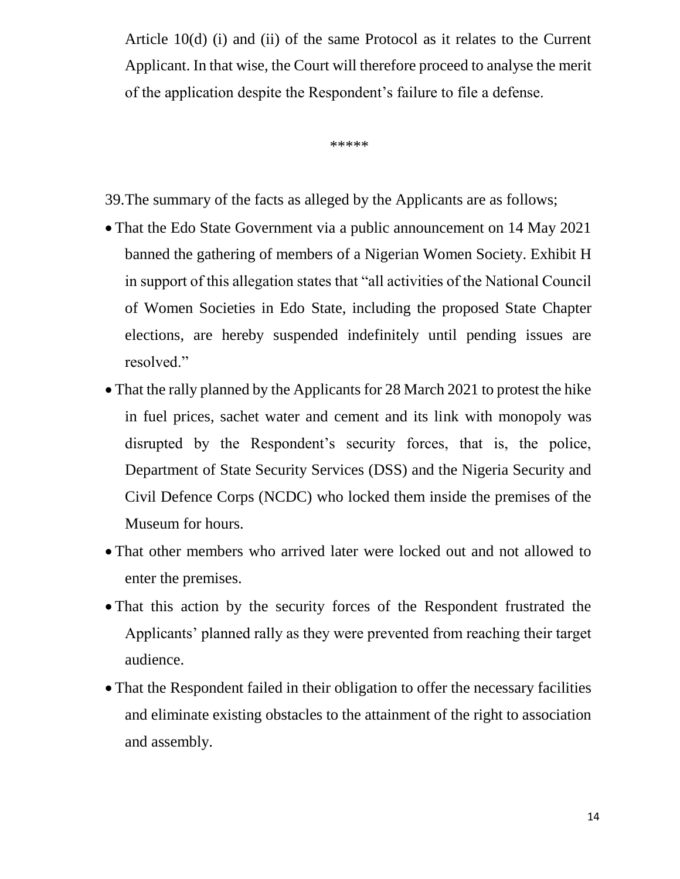Article 10(d) (i) and (ii) of the same Protocol as it relates to the Current Applicant. In that wise, the Court will therefore proceed to analyse the merit of the application despite the Respondent's failure to file a defense.

 $******$ 

39.The summary of the facts as alleged by the Applicants are as follows;

- That the Edo State Government via a public announcement on 14 May 2021 banned the gathering of members of a Nigerian Women Society. Exhibit H in support of this allegation states that "all activities of the National Council of Women Societies in Edo State, including the proposed State Chapter elections, are hereby suspended indefinitely until pending issues are resolved."
- That the rally planned by the Applicants for 28 March 2021 to protest the hike in fuel prices, sachet water and cement and its link with monopoly was disrupted by the Respondent's security forces, that is, the police, Department of State Security Services (DSS) and the Nigeria Security and Civil Defence Corps (NCDC) who locked them inside the premises of the Museum for hours.
- That other members who arrived later were locked out and not allowed to enter the premises.
- That this action by the security forces of the Respondent frustrated the Applicants' planned rally as they were prevented from reaching their target audience.
- That the Respondent failed in their obligation to offer the necessary facilities and eliminate existing obstacles to the attainment of the right to association and assembly.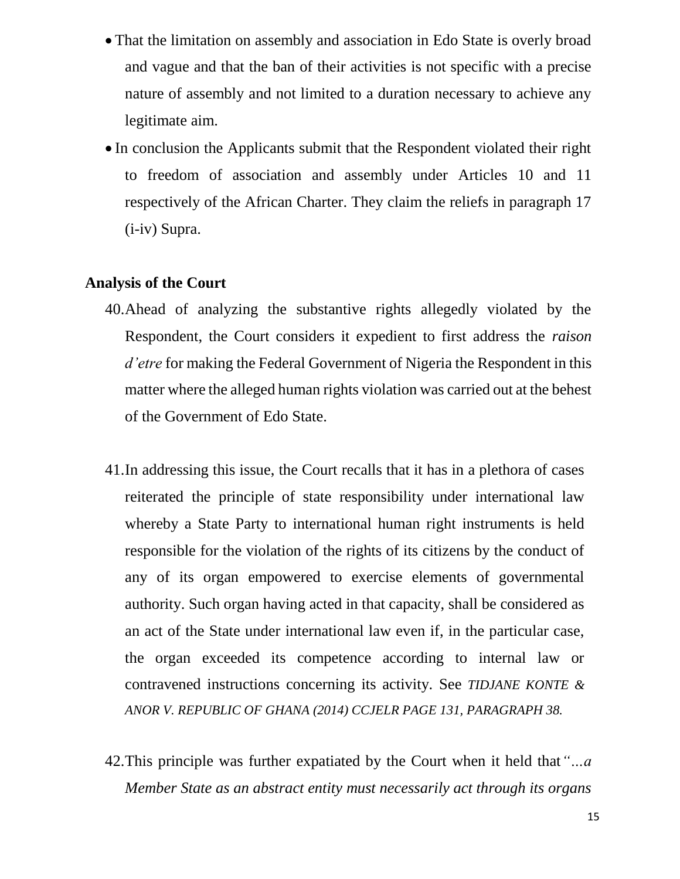- That the limitation on assembly and association in Edo State is overly broad and vague and that the ban of their activities is not specific with a precise nature of assembly and not limited to a duration necessary to achieve any legitimate aim.
- In conclusion the Applicants submit that the Respondent violated their right to freedom of association and assembly under Articles 10 and 11 respectively of the African Charter. They claim the reliefs in paragraph 17 (i-iv) Supra.

#### **Analysis of the Court**

- 40.Ahead of analyzing the substantive rights allegedly violated by the Respondent, the Court considers it expedient to first address the *raison d'etre* for making the Federal Government of Nigeria the Respondent in this matter where the alleged human rights violation was carried out at the behest of the Government of Edo State.
- 41.In addressing this issue, the Court recalls that it has in a plethora of cases reiterated the principle of state responsibility under international law whereby a State Party to international human right instruments is held responsible for the violation of the rights of its citizens by the conduct of any of its organ empowered to exercise elements of governmental authority. Such organ having acted in that capacity, shall be considered as an act of the State under international law even if, in the particular case, the organ exceeded its competence according to internal law or contravened instructions concerning its activity. See *TIDJANE KONTE & ANOR V. REPUBLIC OF GHANA (2014) CCJELR PAGE 131, PARAGRAPH 38.*
- 42.This principle was further expatiated by the Court when it held that*"…a Member State as an abstract entity must necessarily act through its organs*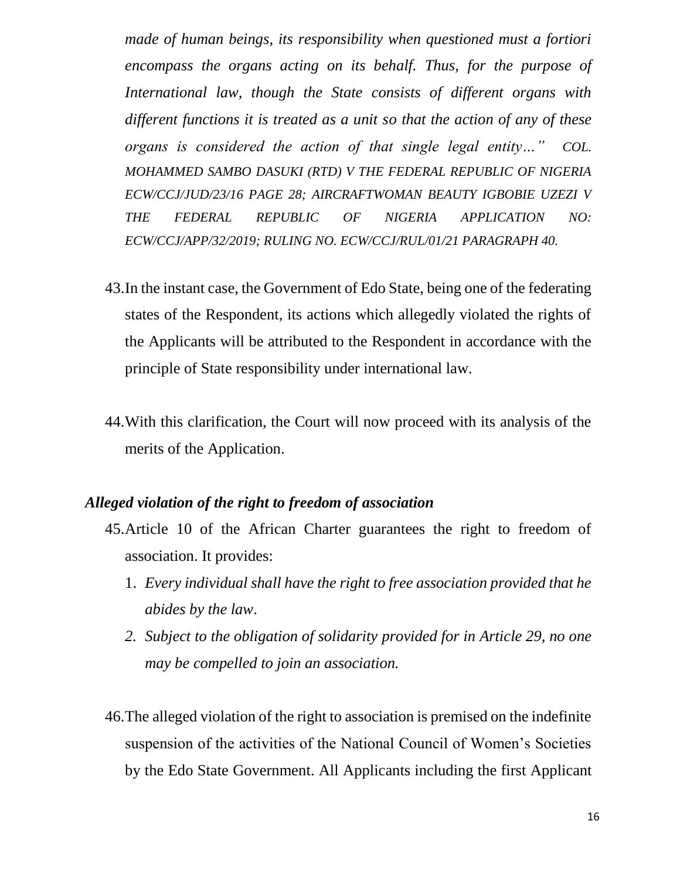*made of human beings, its responsibility when questioned must a fortiori encompass the organs acting on its behalf. Thus, for the purpose of International law, though the State consists of different organs with different functions it is treated as a unit so that the action of any of these organs is considered the action of that single legal entity…" COL. MOHAMMED SAMBO DASUKI (RTD) V THE FEDERAL REPUBLIC OF NIGERIA ECW/CCJ/JUD/23/16 PAGE 28; AIRCRAFTWOMAN BEAUTY IGBOBIE UZEZI V THE FEDERAL REPUBLIC OF NIGERIA APPLICATION NO: ECW/CCJ/APP/32/2019; RULING NO. ECW/CCJ/RUL/01/21 PARAGRAPH 40.*

- 43.In the instant case, the Government of Edo State, being one of the federating states of the Respondent, its actions which allegedly violated the rights of the Applicants will be attributed to the Respondent in accordance with the principle of State responsibility under international law.
- 44.With this clarification, the Court will now proceed with its analysis of the merits of the Application.

#### *Alleged violation of the right to freedom of association*

- 45.Article 10 of the African Charter guarantees the right to freedom of association. It provides:
	- 1. *Every individual shall have the right to free association provided that he abides by the law*.
	- *2. Subject to the obligation of solidarity provided for in Article 29, no one may be compelled to join an association.*
- 46.The alleged violation of the right to association is premised on the indefinite suspension of the activities of the National Council of Women's Societies by the Edo State Government. All Applicants including the first Applicant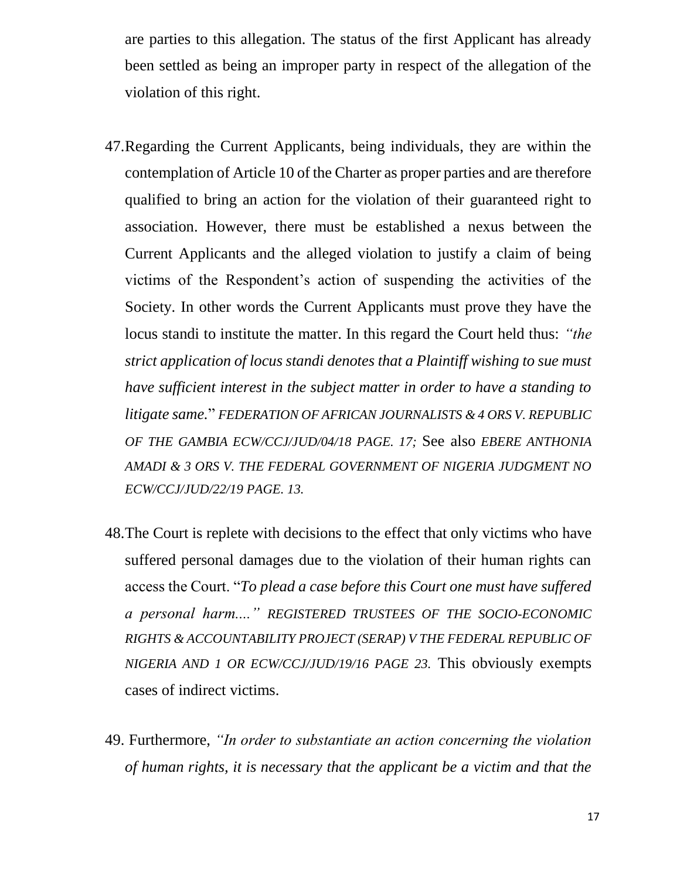are parties to this allegation. The status of the first Applicant has already been settled as being an improper party in respect of the allegation of the violation of this right.

- 47.Regarding the Current Applicants, being individuals, they are within the contemplation of Article 10 of the Charter as proper parties and are therefore qualified to bring an action for the violation of their guaranteed right to association. However, there must be established a nexus between the Current Applicants and the alleged violation to justify a claim of being victims of the Respondent's action of suspending the activities of the Society. In other words the Current Applicants must prove they have the locus standi to institute the matter. In this regard the Court held thus: *"the strict application of locus standi denotes that a Plaintiff wishing to sue must have sufficient interest in the subject matter in order to have a standing to litigate same.*" *FEDERATION OF AFRICAN JOURNALISTS & 4 ORS V. REPUBLIC OF THE GAMBIA ECW/CCJ/JUD/04/18 PAGE. 17;* See also *EBERE ANTHONIA AMADI & 3 ORS V. THE FEDERAL GOVERNMENT OF NIGERIA JUDGMENT NO ECW/CCJ/JUD/22/19 PAGE. 13.*
- 48.The Court is replete with decisions to the effect that only victims who have suffered personal damages due to the violation of their human rights can access the Court. "*To plead a case before this Court one must have suffered a personal harm...." REGISTERED TRUSTEES OF THE SOCIO-ECONOMIC RIGHTS & ACCOUNTABILITY PROJECT (SERAP) V THE FEDERAL REPUBLIC OF NIGERIA AND 1 OR ECW/CCJ/JUD/19/16 PAGE 23.* This obviously exempts cases of indirect victims.
- 49. Furthermore, *"In order to substantiate an action concerning the violation of human rights, it is necessary that the applicant be a victim and that the*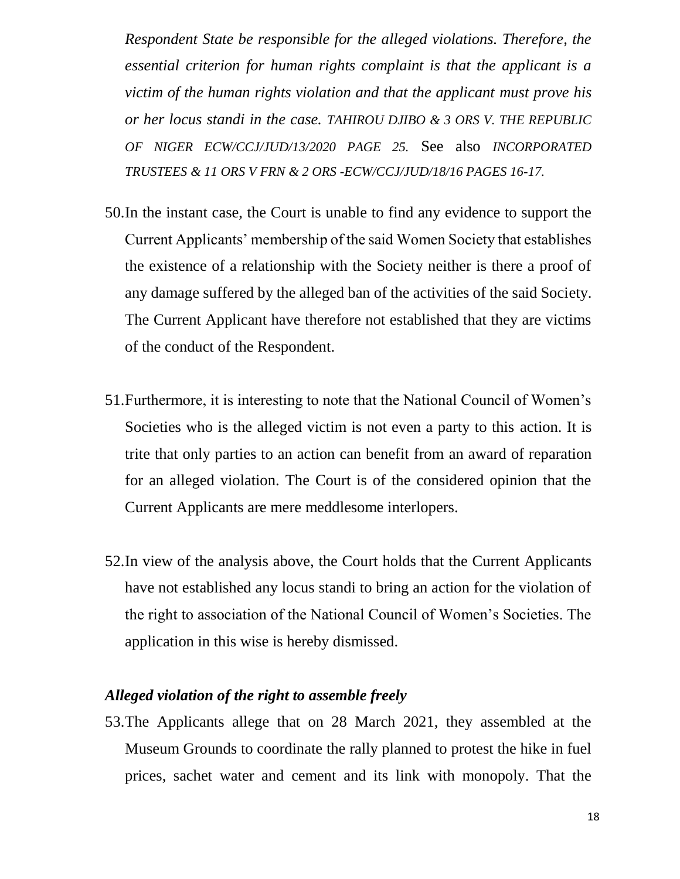*Respondent State be responsible for the alleged violations. Therefore, the essential criterion for human rights complaint is that the applicant is a victim of the human rights violation and that the applicant must prove his or her locus standi in the case. TAHIROU DJIBO & 3 ORS V. THE REPUBLIC OF NIGER ECW/CCJ/JUD/13/2020 PAGE 25.* See also *INCORPORATED TRUSTEES & 11 ORS V FRN & 2 ORS -ECW/CCJ/JUD/18/16 PAGES 16-17.*

- 50.In the instant case, the Court is unable to find any evidence to support the Current Applicants' membership of the said Women Society that establishes the existence of a relationship with the Society neither is there a proof of any damage suffered by the alleged ban of the activities of the said Society. The Current Applicant have therefore not established that they are victims of the conduct of the Respondent.
- 51.Furthermore, it is interesting to note that the National Council of Women's Societies who is the alleged victim is not even a party to this action. It is trite that only parties to an action can benefit from an award of reparation for an alleged violation. The Court is of the considered opinion that the Current Applicants are mere meddlesome interlopers.
- 52.In view of the analysis above, the Court holds that the Current Applicants have not established any locus standi to bring an action for the violation of the right to association of the National Council of Women's Societies. The application in this wise is hereby dismissed.

#### *Alleged violation of the right to assemble freely*

53.The Applicants allege that on 28 March 2021, they assembled at the Museum Grounds to coordinate the rally planned to protest the hike in fuel prices, sachet water and cement and its link with monopoly. That the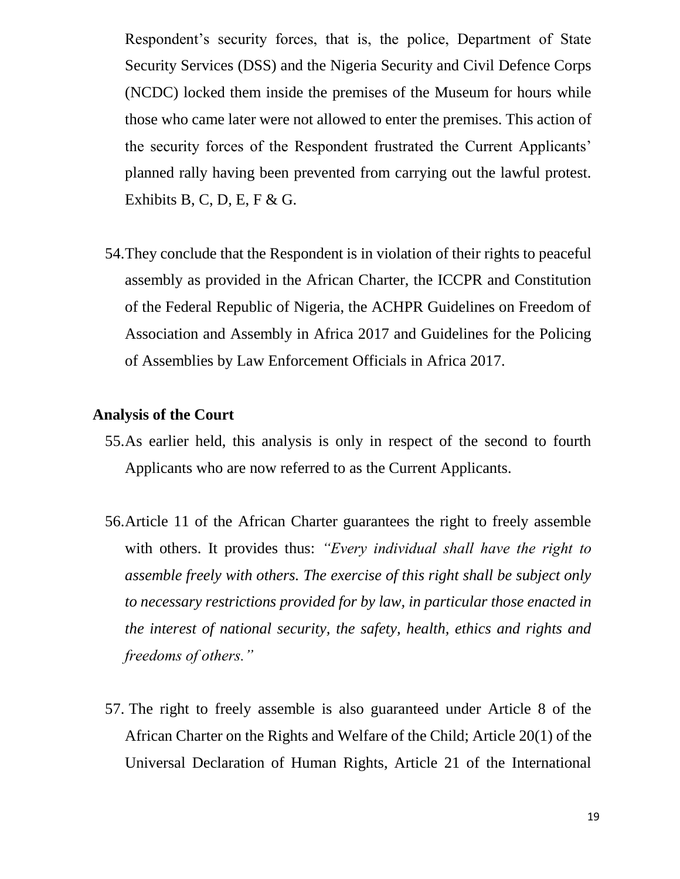Respondent's security forces, that is, the police, Department of State Security Services (DSS) and the Nigeria Security and Civil Defence Corps (NCDC) locked them inside the premises of the Museum for hours while those who came later were not allowed to enter the premises. This action of the security forces of the Respondent frustrated the Current Applicants' planned rally having been prevented from carrying out the lawful protest. Exhibits B, C, D, E, F & G.

54.They conclude that the Respondent is in violation of their rights to peaceful assembly as provided in the African Charter, the ICCPR and Constitution of the Federal Republic of Nigeria, the ACHPR Guidelines on Freedom of Association and Assembly in Africa 2017 and Guidelines for the Policing of Assemblies by Law Enforcement Officials in Africa 2017.

#### **Analysis of the Court**

- 55.As earlier held, this analysis is only in respect of the second to fourth Applicants who are now referred to as the Current Applicants.
- 56.Article 11 of the African Charter guarantees the right to freely assemble with others. It provides thus: *"Every individual shall have the right to assemble freely with others. The exercise of this right shall be subject only to necessary restrictions provided for by law, in particular those enacted in the interest of national security, the safety, health, ethics and rights and freedoms of others."*
- 57. The right to freely assemble is also guaranteed under Article 8 of the African Charter on the Rights and Welfare of the Child; Article 20(1) of the Universal Declaration of Human Rights, Article 21 of the International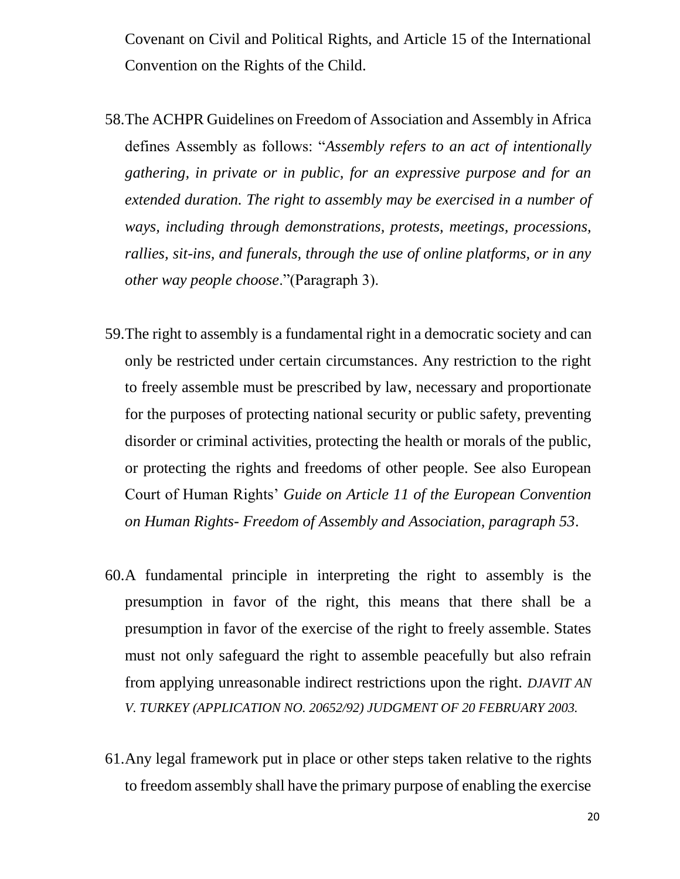Covenant on Civil and Political Rights, and Article 15 of the International Convention on the Rights of the Child.

- 58.The ACHPR Guidelines on Freedom of Association and Assembly in Africa defines Assembly as follows: "*Assembly refers to an act of intentionally gathering, in private or in public, for an expressive purpose and for an extended duration. The right to assembly may be exercised in a number of ways, including through demonstrations, protests, meetings, processions, rallies, sit-ins, and funerals, through the use of online platforms, or in any other way people choose*."(Paragraph 3).
- 59.The right to assembly is a fundamental right in a democratic society and can only be restricted under certain circumstances. Any restriction to the right to freely assemble must be prescribed by law, necessary and proportionate for the purposes of protecting national security or public safety, preventing disorder or criminal activities, protecting the health or morals of the public, or protecting the rights and freedoms of other people. See also European Court of Human Rights' *Guide on Article 11 of the European Convention on Human Rights- Freedom of Assembly and Association, paragraph 53*.
- 60.A fundamental principle in interpreting the right to assembly is the presumption in favor of the right, this means that there shall be a presumption in favor of the exercise of the right to freely assemble. States must not only safeguard the right to assemble peacefully but also refrain from applying unreasonable indirect restrictions upon the right. *DJAVIT AN V. TURKEY (APPLICATION NO. 20652/92) JUDGMENT OF 20 FEBRUARY 2003.*
- 61.Any legal framework put in place or other steps taken relative to the rights to freedom assembly shall have the primary purpose of enabling the exercise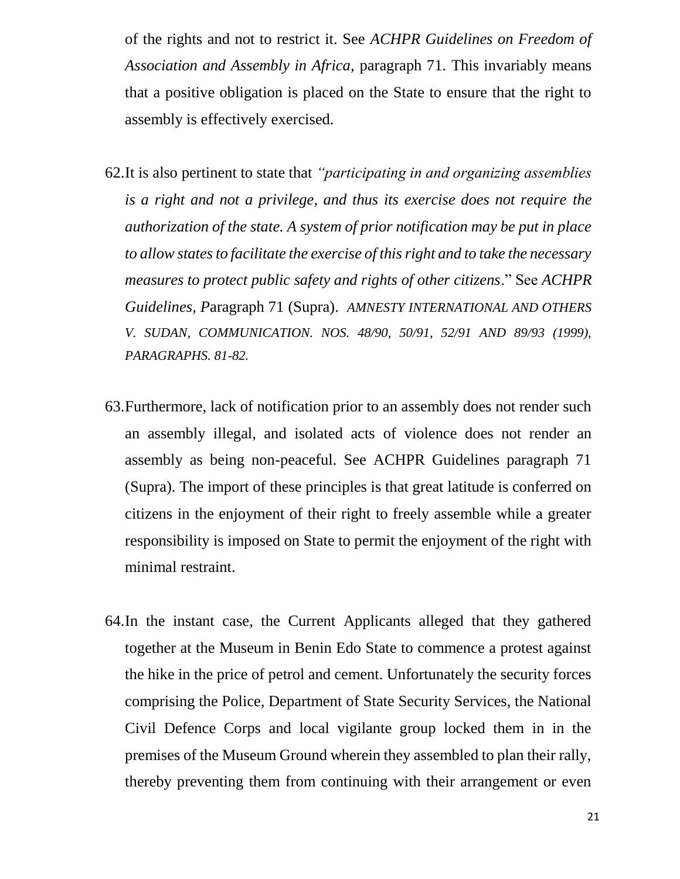of the rights and not to restrict it. See *ACHPR Guidelines on Freedom of Association and Assembly in Africa,* paragraph 71. This invariably means that a positive obligation is placed on the State to ensure that the right to assembly is effectively exercised.

- 62.It is also pertinent to state that *"participating in and organizing assemblies is a right and not a privilege, and thus its exercise does not require the authorization of the state. A system of prior notification may be put in place to allow states to facilitate the exercise of this right and to take the necessary measures to protect public safety and rights of other citizens*." See *ACHPR Guidelines, P*aragraph 71 (Supra). *AMNESTY INTERNATIONAL AND OTHERS V. SUDAN, COMMUNICATION. NOS. 48/90, 50/91, 52/91 AND 89/93 (1999), PARAGRAPHS. 81-82.*
- 63.Furthermore, lack of notification prior to an assembly does not render such an assembly illegal, and isolated acts of violence does not render an assembly as being non-peaceful. See ACHPR Guidelines paragraph 71 (Supra). The import of these principles is that great latitude is conferred on citizens in the enjoyment of their right to freely assemble while a greater responsibility is imposed on State to permit the enjoyment of the right with minimal restraint.
- 64.In the instant case, the Current Applicants alleged that they gathered together at the Museum in Benin Edo State to commence a protest against the hike in the price of petrol and cement. Unfortunately the security forces comprising the Police, Department of State Security Services, the National Civil Defence Corps and local vigilante group locked them in in the premises of the Museum Ground wherein they assembled to plan their rally, thereby preventing them from continuing with their arrangement or even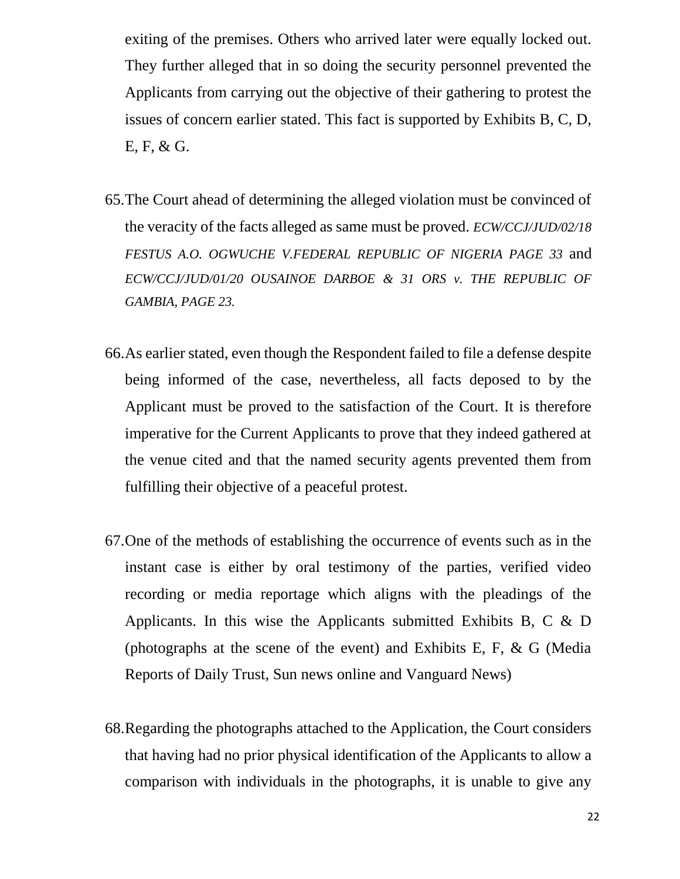exiting of the premises. Others who arrived later were equally locked out. They further alleged that in so doing the security personnel prevented the Applicants from carrying out the objective of their gathering to protest the issues of concern earlier stated. This fact is supported by Exhibits B, C, D, E, F, & G.

- 65.The Court ahead of determining the alleged violation must be convinced of the veracity of the facts alleged as same must be proved. *ECW/CCJ/JUD/02/18 FESTUS A.O. OGWUCHE V.FEDERAL REPUBLIC OF NIGERIA PAGE 33* and *ECW/CCJ/JUD/01/20 OUSAINOE DARBOE & 31 ORS v. THE REPUBLIC OF GAMBIA, PAGE 23.*
- 66.As earlier stated, even though the Respondent failed to file a defense despite being informed of the case, nevertheless, all facts deposed to by the Applicant must be proved to the satisfaction of the Court. It is therefore imperative for the Current Applicants to prove that they indeed gathered at the venue cited and that the named security agents prevented them from fulfilling their objective of a peaceful protest.
- 67.One of the methods of establishing the occurrence of events such as in the instant case is either by oral testimony of the parties, verified video recording or media reportage which aligns with the pleadings of the Applicants. In this wise the Applicants submitted Exhibits B, C & D (photographs at the scene of the event) and Exhibits E, F,  $\&$  G (Media Reports of Daily Trust, Sun news online and Vanguard News)
- 68.Regarding the photographs attached to the Application, the Court considers that having had no prior physical identification of the Applicants to allow a comparison with individuals in the photographs, it is unable to give any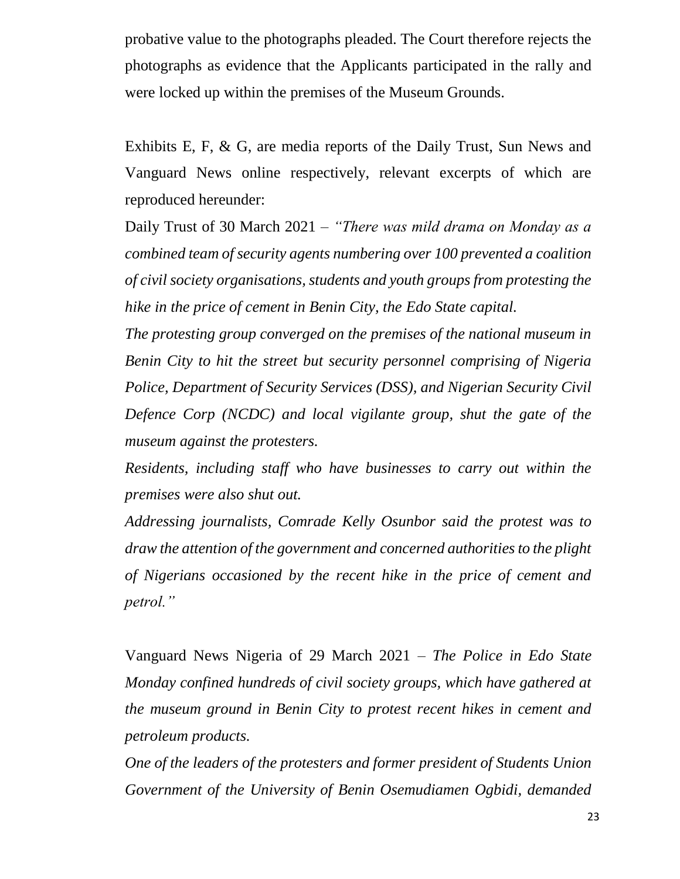probative value to the photographs pleaded. The Court therefore rejects the photographs as evidence that the Applicants participated in the rally and were locked up within the premises of the Museum Grounds.

Exhibits E, F, & G, are media reports of the Daily Trust, Sun News and Vanguard News online respectively, relevant excerpts of which are reproduced hereunder:

Daily Trust of 30 March 2021 – *"There was mild drama on Monday as a combined team of security agents numbering over 100 prevented a coalition of civil society organisations, students and youth groups from protesting the hike in the price of cement in Benin City, the Edo State capital.*

*The protesting group converged on the premises of the national museum in Benin City to hit the street but security personnel comprising of Nigeria Police, Department of Security Services (DSS), and Nigerian Security Civil Defence Corp (NCDC) and local vigilante group, shut the gate of the museum against the protesters.* 

*Residents, including staff who have businesses to carry out within the premises were also shut out.*

*Addressing journalists, Comrade Kelly Osunbor said the protest was to draw the attention of the government and concerned authorities to the plight of Nigerians occasioned by the recent hike in the price of cement and petrol."*

Vanguard News Nigeria of 29 March 2021 *– The Police in Edo State Monday confined hundreds of civil society groups, which have gathered at the museum ground in Benin City to protest recent hikes in cement and petroleum products.*

*One of the leaders of the protesters and former president of Students Union Government of the University of Benin Osemudiamen Ogbidi, demanded*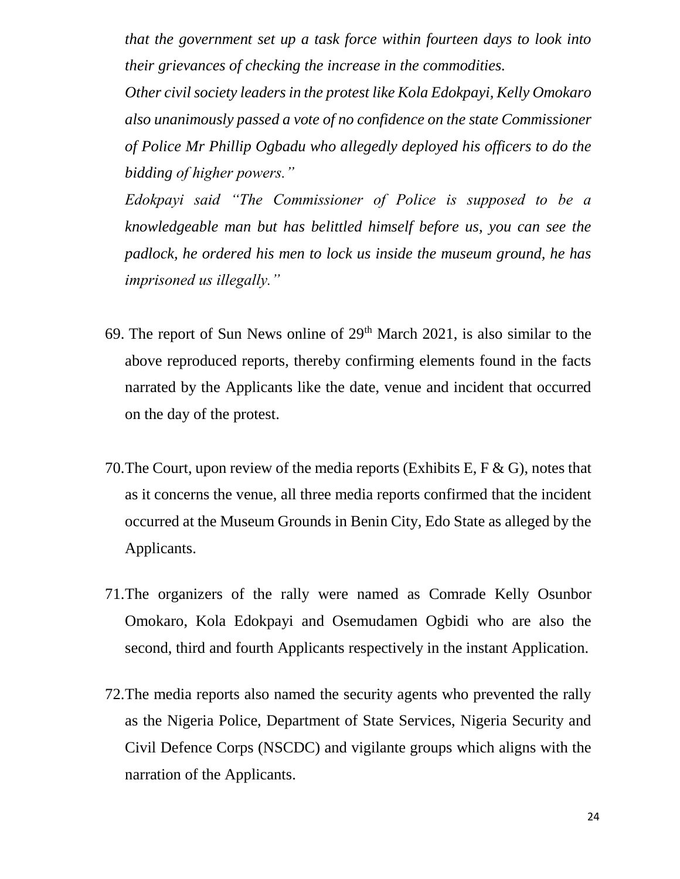*that the government set up a task force within fourteen days to look into their grievances of checking the increase in the commodities.*

*Other civil society leaders in the protest like Kola Edokpayi, Kelly Omokaro also unanimously passed a vote of no confidence on the state Commissioner of Police Mr Phillip Ogbadu who allegedly deployed his officers to do the bidding of higher powers."*

*Edokpayi said "The Commissioner of Police is supposed to be a knowledgeable man but has belittled himself before us, you can see the padlock, he ordered his men to lock us inside the museum ground, he has imprisoned us illegally."* 

- 69. The report of Sun News online of  $29<sup>th</sup>$  March 2021, is also similar to the above reproduced reports, thereby confirming elements found in the facts narrated by the Applicants like the date, venue and incident that occurred on the day of the protest.
- 70.The Court, upon review of the media reports (Exhibits E, F & G), notes that as it concerns the venue, all three media reports confirmed that the incident occurred at the Museum Grounds in Benin City, Edo State as alleged by the Applicants.
- 71.The organizers of the rally were named as Comrade Kelly Osunbor Omokaro, Kola Edokpayi and Osemudamen Ogbidi who are also the second, third and fourth Applicants respectively in the instant Application.
- 72.The media reports also named the security agents who prevented the rally as the Nigeria Police, Department of State Services, Nigeria Security and Civil Defence Corps (NSCDC) and vigilante groups which aligns with the narration of the Applicants.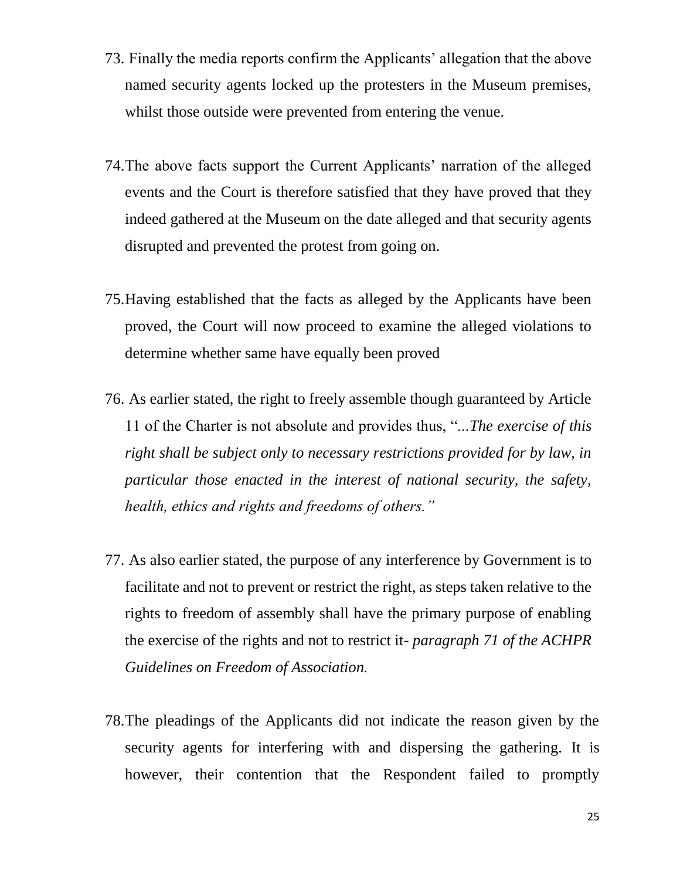- 73. Finally the media reports confirm the Applicants' allegation that the above named security agents locked up the protesters in the Museum premises, whilst those outside were prevented from entering the venue.
- 74.The above facts support the Current Applicants' narration of the alleged events and the Court is therefore satisfied that they have proved that they indeed gathered at the Museum on the date alleged and that security agents disrupted and prevented the protest from going on.
- 75.Having established that the facts as alleged by the Applicants have been proved, the Court will now proceed to examine the alleged violations to determine whether same have equally been proved
- 76. As earlier stated, the right to freely assemble though guaranteed by Article 11 of the Charter is not absolute and provides thus, "...*The exercise of this right shall be subject only to necessary restrictions provided for by law, in particular those enacted in the interest of national security, the safety, health, ethics and rights and freedoms of others."*
- 77. As also earlier stated, the purpose of any interference by Government is to facilitate and not to prevent or restrict the right, as steps taken relative to the rights to freedom of assembly shall have the primary purpose of enabling the exercise of the rights and not to restrict it- *paragraph 71 of the ACHPR Guidelines on Freedom of Association.*
- 78.The pleadings of the Applicants did not indicate the reason given by the security agents for interfering with and dispersing the gathering. It is however, their contention that the Respondent failed to promptly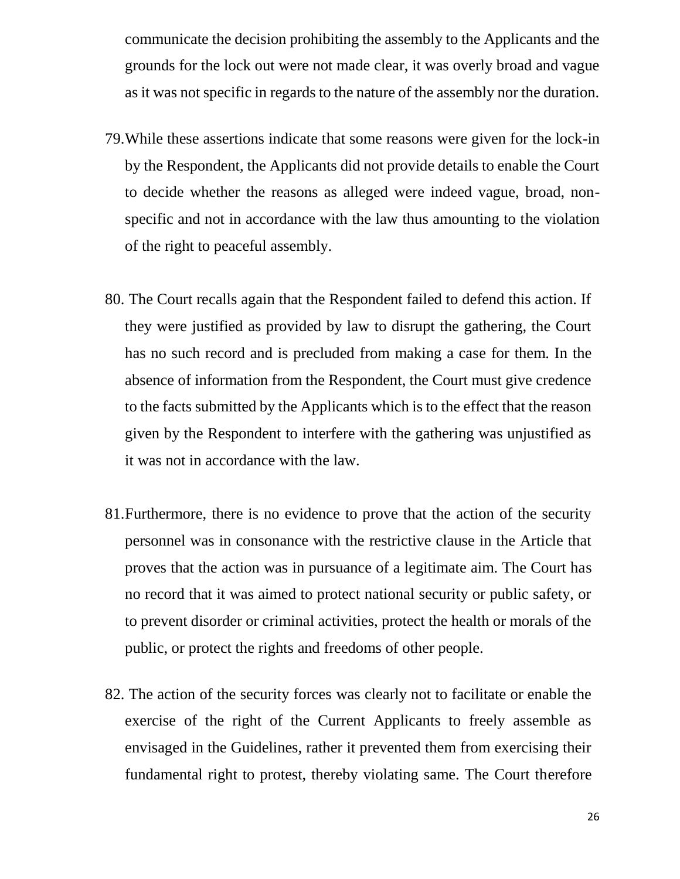communicate the decision prohibiting the assembly to the Applicants and the grounds for the lock out were not made clear, it was overly broad and vague as it was not specific in regards to the nature of the assembly nor the duration.

- 79.While these assertions indicate that some reasons were given for the lock-in by the Respondent, the Applicants did not provide details to enable the Court to decide whether the reasons as alleged were indeed vague, broad, nonspecific and not in accordance with the law thus amounting to the violation of the right to peaceful assembly.
- 80. The Court recalls again that the Respondent failed to defend this action. If they were justified as provided by law to disrupt the gathering, the Court has no such record and is precluded from making a case for them. In the absence of information from the Respondent, the Court must give credence to the facts submitted by the Applicants which is to the effect that the reason given by the Respondent to interfere with the gathering was unjustified as it was not in accordance with the law.
- 81.Furthermore, there is no evidence to prove that the action of the security personnel was in consonance with the restrictive clause in the Article that proves that the action was in pursuance of a legitimate aim. The Court has no record that it was aimed to protect national security or public safety, or to prevent disorder or criminal activities, protect the health or morals of the public, or protect the rights and freedoms of other people.
- 82. The action of the security forces was clearly not to facilitate or enable the exercise of the right of the Current Applicants to freely assemble as envisaged in the Guidelines, rather it prevented them from exercising their fundamental right to protest, thereby violating same. The Court therefore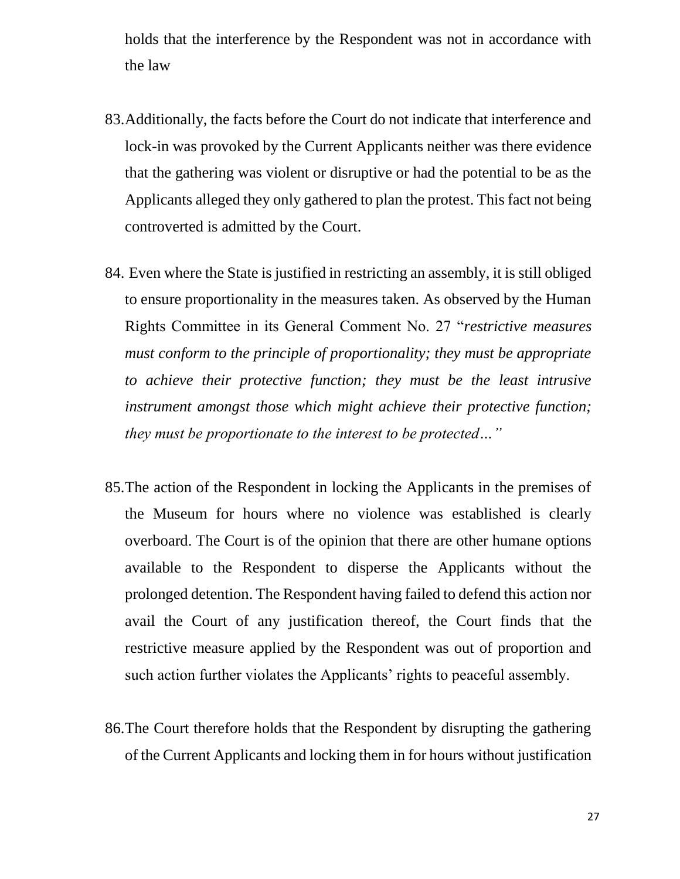holds that the interference by the Respondent was not in accordance with the law

- 83.Additionally, the facts before the Court do not indicate that interference and lock-in was provoked by the Current Applicants neither was there evidence that the gathering was violent or disruptive or had the potential to be as the Applicants alleged they only gathered to plan the protest. This fact not being controverted is admitted by the Court.
- 84. Even where the State is justified in restricting an assembly, it is still obliged to ensure proportionality in the measures taken. As observed by the Human Rights Committee in its General Comment No. 27 "*restrictive measures must conform to the principle of proportionality; they must be appropriate to achieve their protective function; they must be the least intrusive instrument amongst those which might achieve their protective function; they must be proportionate to the interest to be protected…"*
- 85.The action of the Respondent in locking the Applicants in the premises of the Museum for hours where no violence was established is clearly overboard. The Court is of the opinion that there are other humane options available to the Respondent to disperse the Applicants without the prolonged detention. The Respondent having failed to defend this action nor avail the Court of any justification thereof, the Court finds that the restrictive measure applied by the Respondent was out of proportion and such action further violates the Applicants' rights to peaceful assembly.
- 86.The Court therefore holds that the Respondent by disrupting the gathering of the Current Applicants and locking them in for hours without justification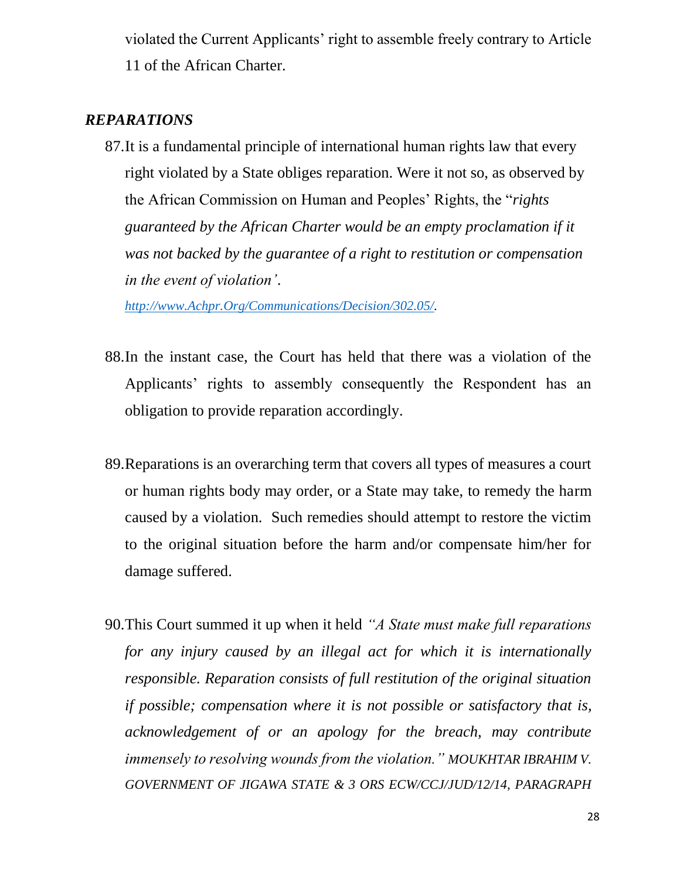violated the Current Applicants' right to assemble freely contrary to Article 11 of the African Charter.

## *REPARATIONS*

87.It is a fundamental principle of international human rights law that every right violated by a State obliges reparation. Were it not so, as observed by the African Commission on Human and Peoples' Rights, the "*rights guaranteed by the African Charter would be an empty proclamation if it was not backed by the guarantee of a right to restitution or compensation in the event of violation'*.

*[http://www.Achpr.Org/Communications/Decision/302.05/.](http://www.achpr.org/Communications/Decision/302.05/)*

- 88.In the instant case, the Court has held that there was a violation of the Applicants' rights to assembly consequently the Respondent has an obligation to provide reparation accordingly.
- 89.Reparations is an overarching term that covers all types of measures a court or human rights body may order, or a State may take, to remedy the harm caused by a violation. Such remedies should attempt to restore the victim to the original situation before the harm and/or compensate him/her for damage suffered.
- 90.This Court summed it up when it held *"A State must make full reparations for any injury caused by an illegal act for which it is internationally responsible. Reparation consists of full restitution of the original situation if possible; compensation where it is not possible or satisfactory that is, acknowledgement of or an apology for the breach, may contribute immensely to resolving wounds from the violation." MOUKHTAR IBRAHIM V. GOVERNMENT OF JIGAWA STATE & 3 ORS ECW/CCJ/JUD/12/14, PARAGRAPH*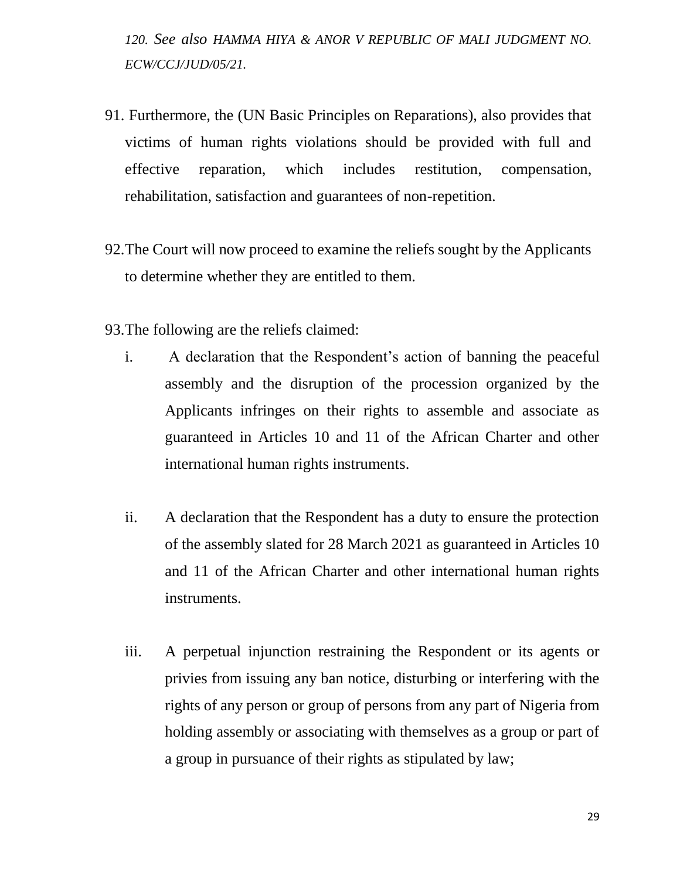*120. See also HAMMA HIYA & ANOR V REPUBLIC OF MALI JUDGMENT NO. ECW/CCJ/JUD/05/21.*

- 91. Furthermore, the (UN Basic Principles on Reparations), also provides that victims of human rights violations should be provided with full and effective reparation, which includes restitution, compensation, rehabilitation, satisfaction and guarantees of non-repetition.
- 92.The Court will now proceed to examine the reliefs sought by the Applicants to determine whether they are entitled to them.
- 93.The following are the reliefs claimed:
	- i. A declaration that the Respondent's action of banning the peaceful assembly and the disruption of the procession organized by the Applicants infringes on their rights to assemble and associate as guaranteed in Articles 10 and 11 of the African Charter and other international human rights instruments.
	- ii. A declaration that the Respondent has a duty to ensure the protection of the assembly slated for 28 March 2021 as guaranteed in Articles 10 and 11 of the African Charter and other international human rights instruments.
	- iii. A perpetual injunction restraining the Respondent or its agents or privies from issuing any ban notice, disturbing or interfering with the rights of any person or group of persons from any part of Nigeria from holding assembly or associating with themselves as a group or part of a group in pursuance of their rights as stipulated by law;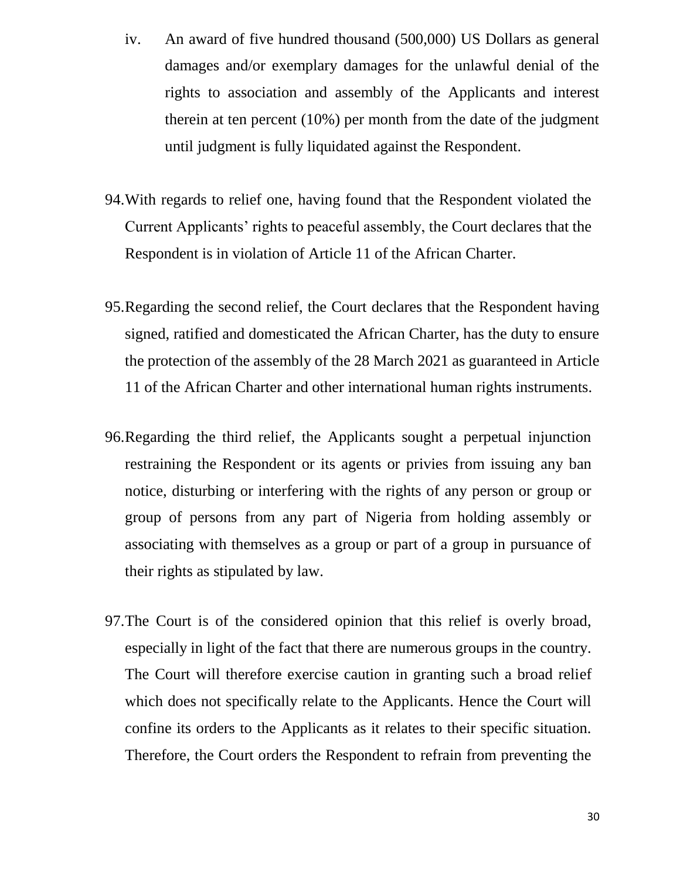- iv. An award of five hundred thousand (500,000) US Dollars as general damages and/or exemplary damages for the unlawful denial of the rights to association and assembly of the Applicants and interest therein at ten percent (10%) per month from the date of the judgment until judgment is fully liquidated against the Respondent.
- 94.With regards to relief one, having found that the Respondent violated the Current Applicants' rights to peaceful assembly, the Court declares that the Respondent is in violation of Article 11 of the African Charter.
- 95.Regarding the second relief, the Court declares that the Respondent having signed, ratified and domesticated the African Charter, has the duty to ensure the protection of the assembly of the 28 March 2021 as guaranteed in Article 11 of the African Charter and other international human rights instruments.
- 96.Regarding the third relief, the Applicants sought a perpetual injunction restraining the Respondent or its agents or privies from issuing any ban notice, disturbing or interfering with the rights of any person or group or group of persons from any part of Nigeria from holding assembly or associating with themselves as a group or part of a group in pursuance of their rights as stipulated by law.
- 97.The Court is of the considered opinion that this relief is overly broad, especially in light of the fact that there are numerous groups in the country. The Court will therefore exercise caution in granting such a broad relief which does not specifically relate to the Applicants. Hence the Court will confine its orders to the Applicants as it relates to their specific situation. Therefore, the Court orders the Respondent to refrain from preventing the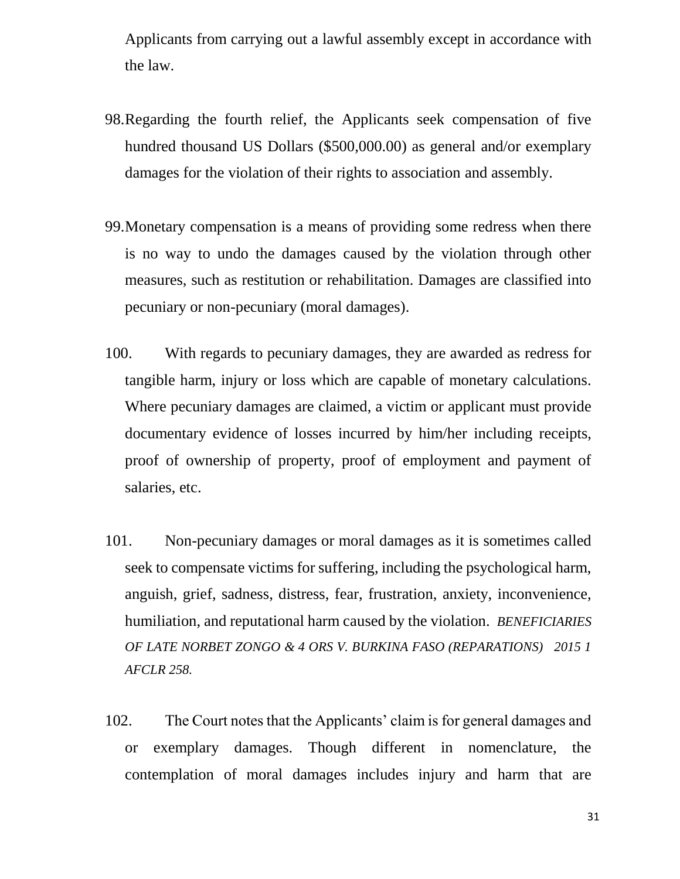Applicants from carrying out a lawful assembly except in accordance with the law.

- 98.Regarding the fourth relief, the Applicants seek compensation of five hundred thousand US Dollars (\$500,000.00) as general and/or exemplary damages for the violation of their rights to association and assembly.
- 99.Monetary compensation is a means of providing some redress when there is no way to undo the damages caused by the violation through other measures, such as restitution or rehabilitation. Damages are classified into pecuniary or non-pecuniary (moral damages).
- 100. With regards to pecuniary damages, they are awarded as redress for tangible harm, injury or loss which are capable of monetary calculations. Where pecuniary damages are claimed, a victim or applicant must provide documentary evidence of losses incurred by him/her including receipts, proof of ownership of property, proof of employment and payment of salaries, etc.
- 101. Non-pecuniary damages or moral damages as it is sometimes called seek to compensate victims for suffering, including the psychological harm, anguish, grief, sadness, distress, fear, frustration, anxiety, inconvenience, humiliation, and reputational harm caused by the violation. *BENEFICIARIES OF LATE NORBET ZONGO & 4 ORS V. BURKINA FASO (REPARATIONS) 2015 1 AFCLR 258.*
- 102. The Court notes that the Applicants' claim is for general damages and or exemplary damages. Though different in nomenclature, the contemplation of moral damages includes injury and harm that are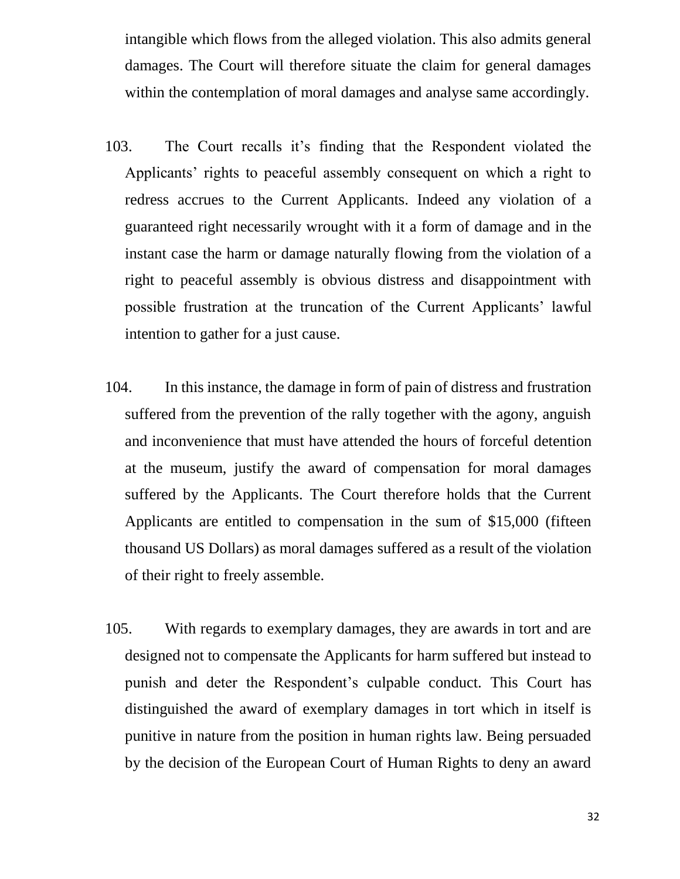intangible which flows from the alleged violation. This also admits general damages. The Court will therefore situate the claim for general damages within the contemplation of moral damages and analyse same accordingly.

- 103. The Court recalls it's finding that the Respondent violated the Applicants' rights to peaceful assembly consequent on which a right to redress accrues to the Current Applicants. Indeed any violation of a guaranteed right necessarily wrought with it a form of damage and in the instant case the harm or damage naturally flowing from the violation of a right to peaceful assembly is obvious distress and disappointment with possible frustration at the truncation of the Current Applicants' lawful intention to gather for a just cause.
- 104. In this instance, the damage in form of pain of distress and frustration suffered from the prevention of the rally together with the agony, anguish and inconvenience that must have attended the hours of forceful detention at the museum, justify the award of compensation for moral damages suffered by the Applicants. The Court therefore holds that the Current Applicants are entitled to compensation in the sum of \$15,000 (fifteen thousand US Dollars) as moral damages suffered as a result of the violation of their right to freely assemble.
- 105. With regards to exemplary damages, they are awards in tort and are designed not to compensate the Applicants for harm suffered but instead to punish and deter the Respondent's culpable conduct. This Court has distinguished the award of exemplary damages in tort which in itself is punitive in nature from the position in human rights law. Being persuaded by the decision of the European Court of Human Rights to deny an award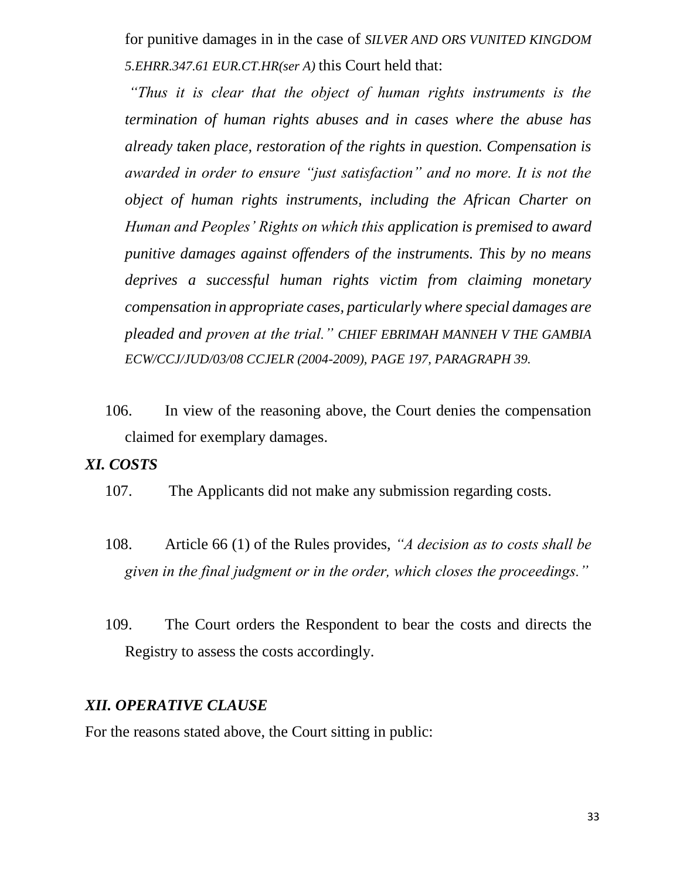for punitive damages in in the case of *SILVER AND ORS VUNITED KINGDOM 5.EHRR.347.61 EUR.CT.HR(ser A)* this Court held that:

*"Thus it is clear that the object of human rights instruments is the termination of human rights abuses and in cases where the abuse has already taken place, restoration of the rights in question. Compensation is awarded in order to ensure "just satisfaction" and no more. It is not the object of human rights instruments, including the African Charter on Human and Peoples' Rights on which this application is premised to award punitive damages against offenders of the instruments. This by no means deprives a successful human rights victim from claiming monetary compensation in appropriate cases, particularly where special damages are pleaded and proven at the trial." CHIEF EBRIMAH MANNEH V THE GAMBIA ECW/CCJ/JUD/03/08 CCJELR (2004-2009), PAGE 197, PARAGRAPH 39.*

106. In view of the reasoning above, the Court denies the compensation claimed for exemplary damages.

#### *XI. COSTS*

- 107. The Applicants did not make any submission regarding costs.
- 108. Article 66 (1) of the Rules provides, *"A decision as to costs shall be given in the final judgment or in the order, which closes the proceedings."*
- 109. The Court orders the Respondent to bear the costs and directs the Registry to assess the costs accordingly.

#### *XII. OPERATIVE CLAUSE*

For the reasons stated above, the Court sitting in public: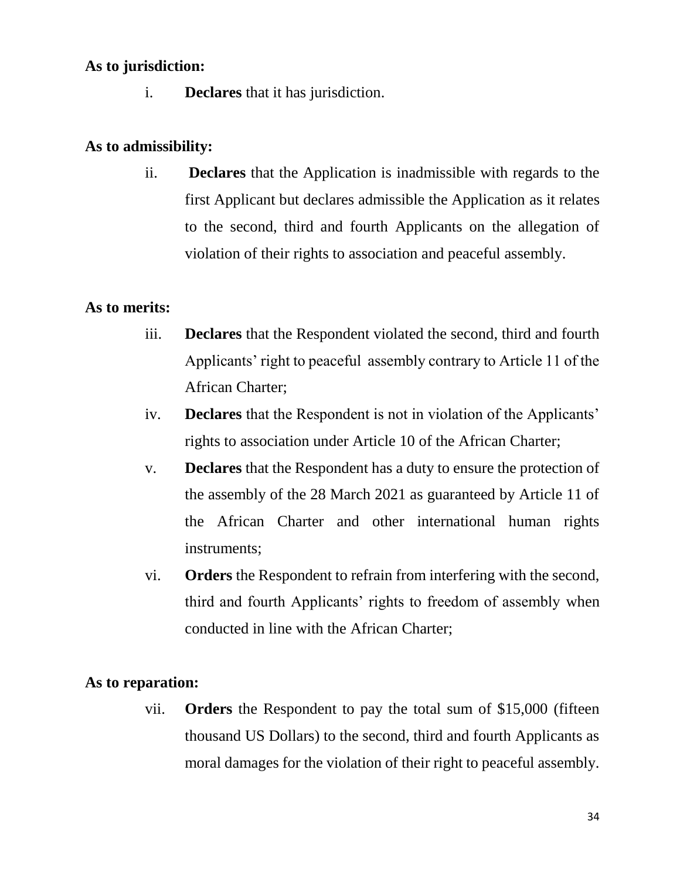#### **As to jurisdiction:**

i. **Declares** that it has jurisdiction.

#### **As to admissibility:**

ii. **Declares** that the Application is inadmissible with regards to the first Applicant but declares admissible the Application as it relates to the second, third and fourth Applicants on the allegation of violation of their rights to association and peaceful assembly.

## **As to merits:**

- iii. **Declares** that the Respondent violated the second, third and fourth Applicants' right to peaceful assembly contrary to Article 11 of the African Charter;
- iv. **Declares** that the Respondent is not in violation of the Applicants' rights to association under Article 10 of the African Charter;
- v. **Declares** that the Respondent has a duty to ensure the protection of the assembly of the 28 March 2021 as guaranteed by Article 11 of the African Charter and other international human rights instruments;
- vi. **Orders** the Respondent to refrain from interfering with the second, third and fourth Applicants' rights to freedom of assembly when conducted in line with the African Charter;

## **As to reparation:**

vii. **Orders** the Respondent to pay the total sum of \$15,000 (fifteen thousand US Dollars) to the second, third and fourth Applicants as moral damages for the violation of their right to peaceful assembly.